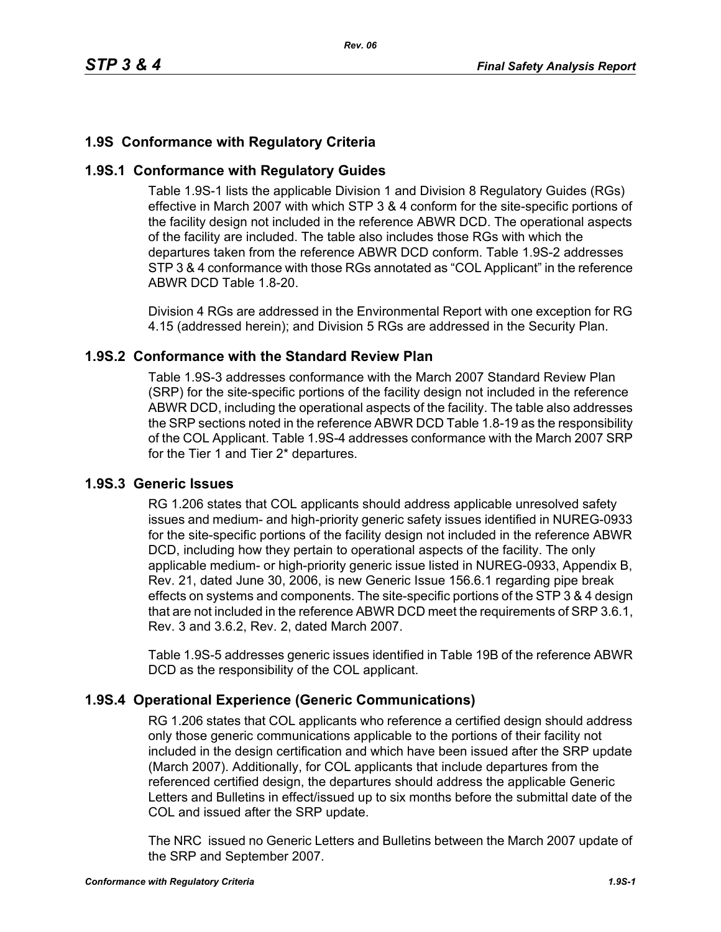# **1.9S Conformance with Regulatory Criteria**

## **1.9S.1 Conformance with Regulatory Guides**

Table 1.9S-1 lists the applicable Division 1 and Division 8 Regulatory Guides (RGs) effective in March 2007 with which STP 3 & 4 conform for the site-specific portions of the facility design not included in the reference ABWR DCD. The operational aspects of the facility are included. The table also includes those RGs with which the departures taken from the reference ABWR DCD conform. Table 1.9S-2 addresses STP 3 & 4 conformance with those RGs annotated as "COL Applicant" in the reference ABWR DCD Table 1.8-20.

Division 4 RGs are addressed in the Environmental Report with one exception for RG 4.15 (addressed herein); and Division 5 RGs are addressed in the Security Plan.

## **1.9S.2 Conformance with the Standard Review Plan**

Table 1.9S-3 addresses conformance with the March 2007 Standard Review Plan (SRP) for the site-specific portions of the facility design not included in the reference ABWR DCD, including the operational aspects of the facility. The table also addresses the SRP sections noted in the reference ABWR DCD Table 1.8-19 as the responsibility of the COL Applicant. Table 1.9S-4 addresses conformance with the March 2007 SRP for the Tier 1 and Tier 2\* departures.

### **1.9S.3 Generic Issues**

RG 1.206 states that COL applicants should address applicable unresolved safety issues and medium- and high-priority generic safety issues identified in NUREG-0933 for the site-specific portions of the facility design not included in the reference ABWR DCD, including how they pertain to operational aspects of the facility. The only applicable medium- or high-priority generic issue listed in NUREG-0933, Appendix B, Rev. 21, dated June 30, 2006, is new Generic Issue 156.6.1 regarding pipe break effects on systems and components. The site-specific portions of the STP 3 & 4 design that are not included in the reference ABWR DCD meet the requirements of SRP 3.6.1, Rev. 3 and 3.6.2, Rev. 2, dated March 2007.

Table 1.9S-5 addresses generic issues identified in Table 19B of the reference ABWR DCD as the responsibility of the COL applicant.

## **1.9S.4 Operational Experience (Generic Communications)**

RG 1.206 states that COL applicants who reference a certified design should address only those generic communications applicable to the portions of their facility not included in the design certification and which have been issued after the SRP update (March 2007). Additionally, for COL applicants that include departures from the referenced certified design, the departures should address the applicable Generic Letters and Bulletins in effect/issued up to six months before the submittal date of the COL and issued after the SRP update.

The NRC issued no Generic Letters and Bulletins between the March 2007 update of the SRP and September 2007.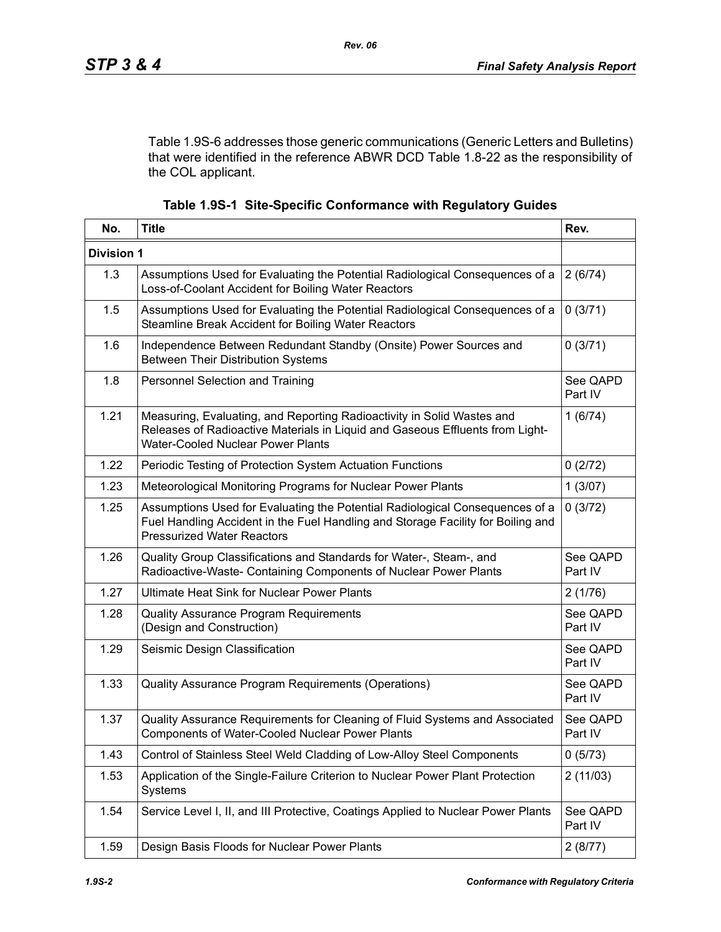Table 1.9S-6 addresses those generic communications (Generic Letters and Bulletins) that were identified in the reference ABWR DCD Table 1.8-22 as the responsibility of the COL applicant.

|  |  |  | Table 1.9S-1 Site-Specific Conformance with Regulatory Guides |  |  |
|--|--|--|---------------------------------------------------------------|--|--|
|--|--|--|---------------------------------------------------------------|--|--|

| No.               | <b>Title</b>                                                                                                                                                                                          |                     |
|-------------------|-------------------------------------------------------------------------------------------------------------------------------------------------------------------------------------------------------|---------------------|
| <b>Division 1</b> |                                                                                                                                                                                                       |                     |
| 1.3               | Assumptions Used for Evaluating the Potential Radiological Consequences of a<br>Loss-of-Coolant Accident for Boiling Water Reactors                                                                   | 2(6/74)             |
| 1.5               | Assumptions Used for Evaluating the Potential Radiological Consequences of a<br>0(3/71)<br>Steamline Break Accident for Boiling Water Reactors                                                        |                     |
| 1.6               | Independence Between Redundant Standby (Onsite) Power Sources and<br><b>Between Their Distribution Systems</b>                                                                                        | 0(3/71)             |
| 1.8               | Personnel Selection and Training                                                                                                                                                                      | See QAPD<br>Part IV |
| 1.21              | Measuring, Evaluating, and Reporting Radioactivity in Solid Wastes and<br>Releases of Radioactive Materials in Liquid and Gaseous Effluents from Light-<br><b>Water-Cooled Nuclear Power Plants</b>   | 1(6/74)             |
| 1.22              | Periodic Testing of Protection System Actuation Functions                                                                                                                                             | 0(2/72)             |
| 1.23              | Meteorological Monitoring Programs for Nuclear Power Plants                                                                                                                                           | 1(3/07)             |
| 1.25              | Assumptions Used for Evaluating the Potential Radiological Consequences of a<br>Fuel Handling Accident in the Fuel Handling and Storage Facility for Boiling and<br><b>Pressurized Water Reactors</b> |                     |
| 1.26              | Quality Group Classifications and Standards for Water-, Steam-, and<br>See QAPD<br>Radioactive-Waste- Containing Components of Nuclear Power Plants<br>Part IV                                        |                     |
| 1.27              | <b>Ultimate Heat Sink for Nuclear Power Plants</b>                                                                                                                                                    |                     |
| 1.28              | See QAPD<br>Quality Assurance Program Requirements<br>(Design and Construction)<br>Part IV                                                                                                            |                     |
| 1.29              | Seismic Design Classification                                                                                                                                                                         |                     |
| 1.33              | Quality Assurance Program Requirements (Operations)                                                                                                                                                   |                     |
| 1.37              | Quality Assurance Requirements for Cleaning of Fluid Systems and Associated<br>See QAPD<br><b>Components of Water-Cooled Nuclear Power Plants</b><br>Part IV                                          |                     |
| 1.43              | Control of Stainless Steel Weld Cladding of Low-Alloy Steel Components<br>0(5/73)                                                                                                                     |                     |
| 1.53              | Application of the Single-Failure Criterion to Nuclear Power Plant Protection<br>Systems                                                                                                              | 2(11/03)            |
| 1.54              | Service Level I, II, and III Protective, Coatings Applied to Nuclear Power Plants                                                                                                                     | See QAPD<br>Part IV |
| 1.59              | Design Basis Floods for Nuclear Power Plants<br>2(8/77)                                                                                                                                               |                     |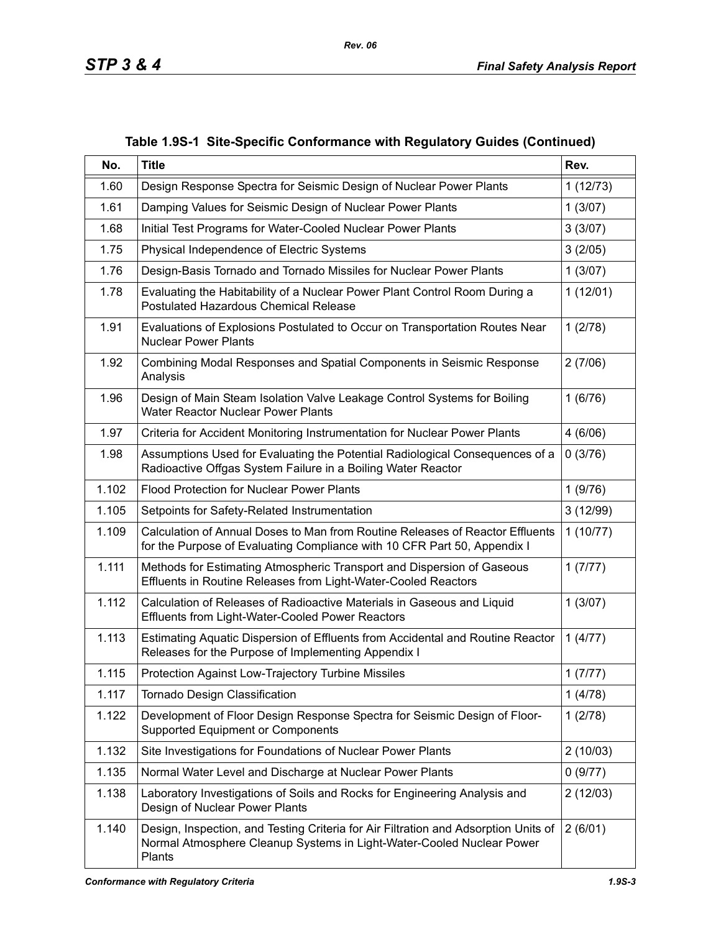| No.   | <b>Title</b>                                                                                                                                                           | Rev.     |
|-------|------------------------------------------------------------------------------------------------------------------------------------------------------------------------|----------|
| 1.60  | Design Response Spectra for Seismic Design of Nuclear Power Plants                                                                                                     | 1(12/73) |
| 1.61  | Damping Values for Seismic Design of Nuclear Power Plants                                                                                                              | 1(3/07)  |
| 1.68  | Initial Test Programs for Water-Cooled Nuclear Power Plants                                                                                                            | 3(3/07)  |
| 1.75  | Physical Independence of Electric Systems                                                                                                                              | 3(2/05)  |
| 1.76  | Design-Basis Tornado and Tornado Missiles for Nuclear Power Plants                                                                                                     | 1(3/07)  |
| 1.78  | Evaluating the Habitability of a Nuclear Power Plant Control Room During a<br><b>Postulated Hazardous Chemical Release</b>                                             | 1(12/01) |
| 1.91  | Evaluations of Explosions Postulated to Occur on Transportation Routes Near<br><b>Nuclear Power Plants</b>                                                             | 1(2/78)  |
| 1.92  | Combining Modal Responses and Spatial Components in Seismic Response<br>Analysis                                                                                       | 2(7/06)  |
| 1.96  | Design of Main Steam Isolation Valve Leakage Control Systems for Boiling<br>Water Reactor Nuclear Power Plants                                                         | 1(6/76)  |
| 1.97  | Criteria for Accident Monitoring Instrumentation for Nuclear Power Plants                                                                                              | 4(6/06)  |
| 1.98  | Assumptions Used for Evaluating the Potential Radiological Consequences of a<br>Radioactive Offgas System Failure in a Boiling Water Reactor                           |          |
| 1.102 | <b>Flood Protection for Nuclear Power Plants</b>                                                                                                                       |          |
| 1.105 | Setpoints for Safety-Related Instrumentation                                                                                                                           |          |
| 1.109 | Calculation of Annual Doses to Man from Routine Releases of Reactor Effluents<br>1(10/77)<br>for the Purpose of Evaluating Compliance with 10 CFR Part 50, Appendix I  |          |
| 1.111 | Methods for Estimating Atmospheric Transport and Dispersion of Gaseous<br>Effluents in Routine Releases from Light-Water-Cooled Reactors                               |          |
| 1.112 | Calculation of Releases of Radioactive Materials in Gaseous and Liquid<br>Effluents from Light-Water-Cooled Power Reactors                                             | 1(3/07)  |
| 1.113 | Estimating Aquatic Dispersion of Effluents from Accidental and Routine Reactor<br>Releases for the Purpose of Implementing Appendix I                                  | 1(4/77)  |
| 1.115 | Protection Against Low-Trajectory Turbine Missiles                                                                                                                     |          |
| 1.117 | Tornado Design Classification                                                                                                                                          |          |
| 1.122 | Development of Floor Design Response Spectra for Seismic Design of Floor-<br>Supported Equipment or Components                                                         |          |
| 1.132 | Site Investigations for Foundations of Nuclear Power Plants                                                                                                            | 2(10/03) |
| 1.135 | Normal Water Level and Discharge at Nuclear Power Plants                                                                                                               | 0(9/77)  |
| 1.138 | Laboratory Investigations of Soils and Rocks for Engineering Analysis and<br>Design of Nuclear Power Plants                                                            | 2(12/03) |
| 1.140 | Design, Inspection, and Testing Criteria for Air Filtration and Adsorption Units of<br>Normal Atmosphere Cleanup Systems in Light-Water-Cooled Nuclear Power<br>Plants | 2(6/01)  |

### **Table 1.9S-1 Site-Specific Conformance with Regulatory Guides (Continued)**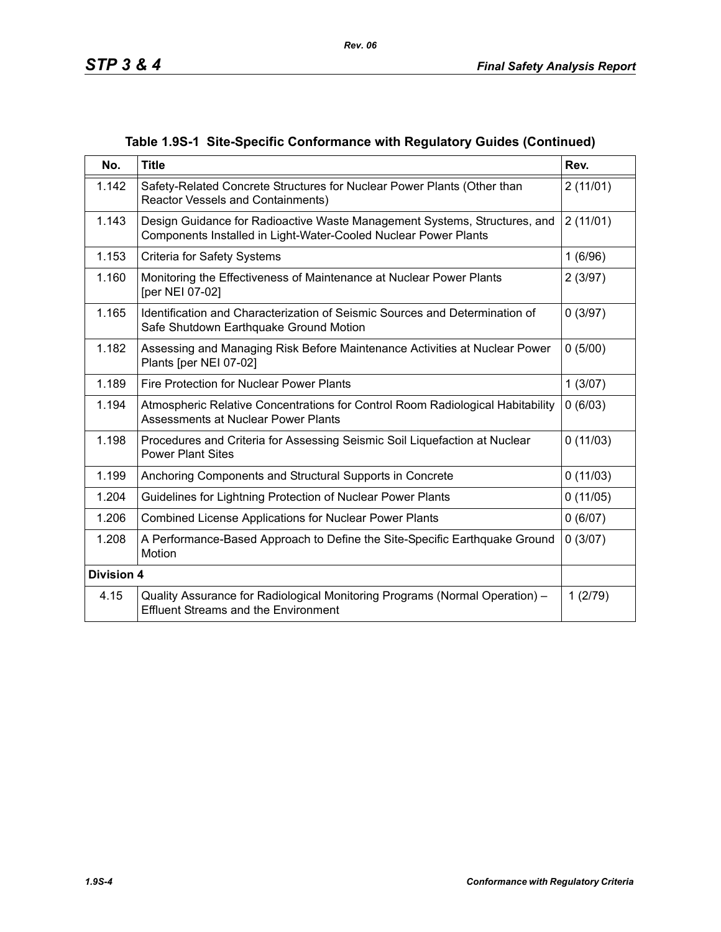|  |  |  |  | Table 1.9S-1 Site-Specific Conformance with Regulatory Guides (Continued) |
|--|--|--|--|---------------------------------------------------------------------------|
|--|--|--|--|---------------------------------------------------------------------------|

| No.               | <b>Title</b><br>Rev.                                                                                                                         |          |
|-------------------|----------------------------------------------------------------------------------------------------------------------------------------------|----------|
| 1.142             | Safety-Related Concrete Structures for Nuclear Power Plants (Other than<br>Reactor Vessels and Containments)                                 | 2(11/01) |
| 1.143             | Design Guidance for Radioactive Waste Management Systems, Structures, and<br>Components Installed in Light-Water-Cooled Nuclear Power Plants | 2(11/01) |
| 1.153             | <b>Criteria for Safety Systems</b>                                                                                                           | 1(6/96)  |
| 1.160             | Monitoring the Effectiveness of Maintenance at Nuclear Power Plants<br>[per NEI 07-02]                                                       | 2(3/97)  |
| 1.165             | Identification and Characterization of Seismic Sources and Determination of<br>Safe Shutdown Earthquake Ground Motion                        | 0(3/97)  |
| 1.182             | Assessing and Managing Risk Before Maintenance Activities at Nuclear Power<br>Plants [per NEI 07-02]                                         | 0(5/00)  |
| 1.189             | Fire Protection for Nuclear Power Plants                                                                                                     | 1(3/07)  |
| 1.194             | Atmospheric Relative Concentrations for Control Room Radiological Habitability<br>Assessments at Nuclear Power Plants                        | 0(6/03)  |
| 1.198             | Procedures and Criteria for Assessing Seismic Soil Liquefaction at Nuclear<br><b>Power Plant Sites</b>                                       |          |
| 1.199             | Anchoring Components and Structural Supports in Concrete                                                                                     | 0(11/03) |
| 1.204             | 0(11/05)<br>Guidelines for Lightning Protection of Nuclear Power Plants                                                                      |          |
| 1.206             | 0(6/07)<br><b>Combined License Applications for Nuclear Power Plants</b>                                                                     |          |
| 1.208             | A Performance-Based Approach to Define the Site-Specific Earthquake Ground<br>Motion                                                         | 0(3/07)  |
| <b>Division 4</b> |                                                                                                                                              |          |
| 4.15              | Quality Assurance for Radiological Monitoring Programs (Normal Operation) -<br><b>Effluent Streams and the Environment</b>                   | 1(2/79)  |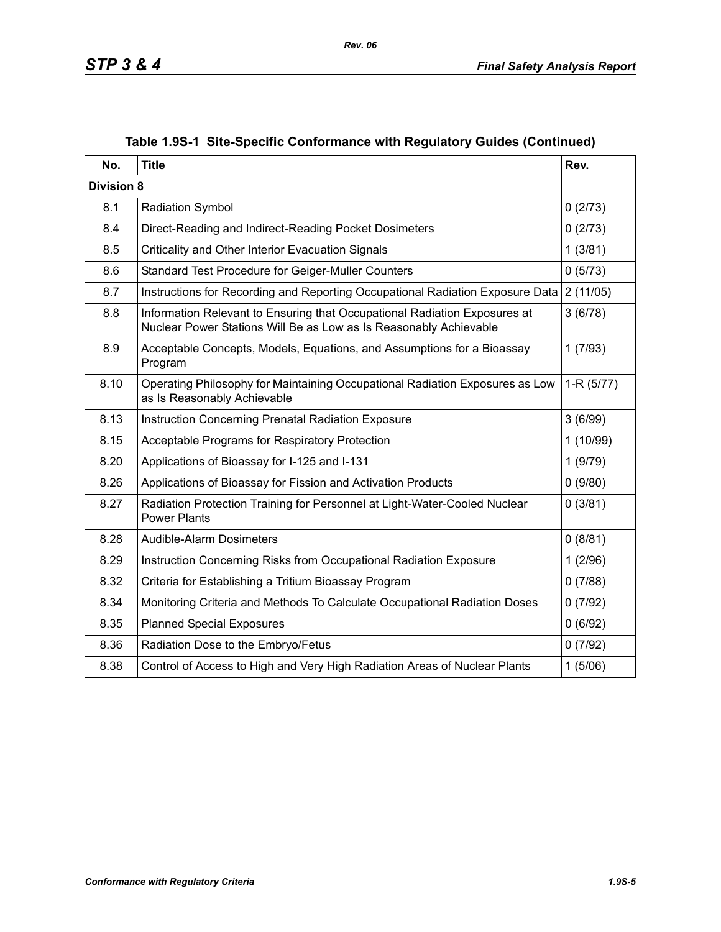| No.                                                                                                      | <b>Title</b>                                                                                                                                   | Rev.        |
|----------------------------------------------------------------------------------------------------------|------------------------------------------------------------------------------------------------------------------------------------------------|-------------|
| <b>Division 8</b>                                                                                        |                                                                                                                                                |             |
| 8.1                                                                                                      | <b>Radiation Symbol</b>                                                                                                                        | 0(2/73)     |
| 8.4                                                                                                      | Direct-Reading and Indirect-Reading Pocket Dosimeters                                                                                          | 0(2/73)     |
| 8.5                                                                                                      | Criticality and Other Interior Evacuation Signals                                                                                              | 1(3/81)     |
| 8.6                                                                                                      | Standard Test Procedure for Geiger-Muller Counters                                                                                             | 0(5/73)     |
| 8.7                                                                                                      | Instructions for Recording and Reporting Occupational Radiation Exposure Data                                                                  | 2(11/05)    |
| 8.8                                                                                                      | Information Relevant to Ensuring that Occupational Radiation Exposures at<br>Nuclear Power Stations Will Be as Low as Is Reasonably Achievable | 3(6/78)     |
| 8.9                                                                                                      | Acceptable Concepts, Models, Equations, and Assumptions for a Bioassay<br>Program                                                              | 1(7/93)     |
| 8.10                                                                                                     | Operating Philosophy for Maintaining Occupational Radiation Exposures as Low<br>as Is Reasonably Achievable                                    | $1-R(5/77)$ |
| 8.13                                                                                                     | Instruction Concerning Prenatal Radiation Exposure                                                                                             |             |
| 8.15                                                                                                     | Acceptable Programs for Respiratory Protection                                                                                                 | 1 (10/99)   |
| 8.20                                                                                                     | Applications of Bioassay for I-125 and I-131                                                                                                   | 1(9/79)     |
| 8.26                                                                                                     | Applications of Bioassay for Fission and Activation Products                                                                                   | 0(9/80)     |
| 8.27<br>Radiation Protection Training for Personnel at Light-Water-Cooled Nuclear<br><b>Power Plants</b> |                                                                                                                                                | 0(3/81)     |
| 8.28                                                                                                     | 0(8/81)<br><b>Audible-Alarm Dosimeters</b>                                                                                                     |             |
| 8.29                                                                                                     | Instruction Concerning Risks from Occupational Radiation Exposure<br>1(2/96)                                                                   |             |
| 8.32                                                                                                     | Criteria for Establishing a Tritium Bioassay Program<br>0(7/88)                                                                                |             |
| 8.34                                                                                                     | Monitoring Criteria and Methods To Calculate Occupational Radiation Doses                                                                      | 0(7/92)     |
| 8.35                                                                                                     | <b>Planned Special Exposures</b>                                                                                                               | 0(6/92)     |
| 8.36                                                                                                     | Radiation Dose to the Embryo/Fetus                                                                                                             | 0(7/92)     |
| 8.38                                                                                                     | Control of Access to High and Very High Radiation Areas of Nuclear Plants                                                                      | 1(5/06)     |

# **Table 1.9S-1 Site-Specific Conformance with Regulatory Guides (Continued)**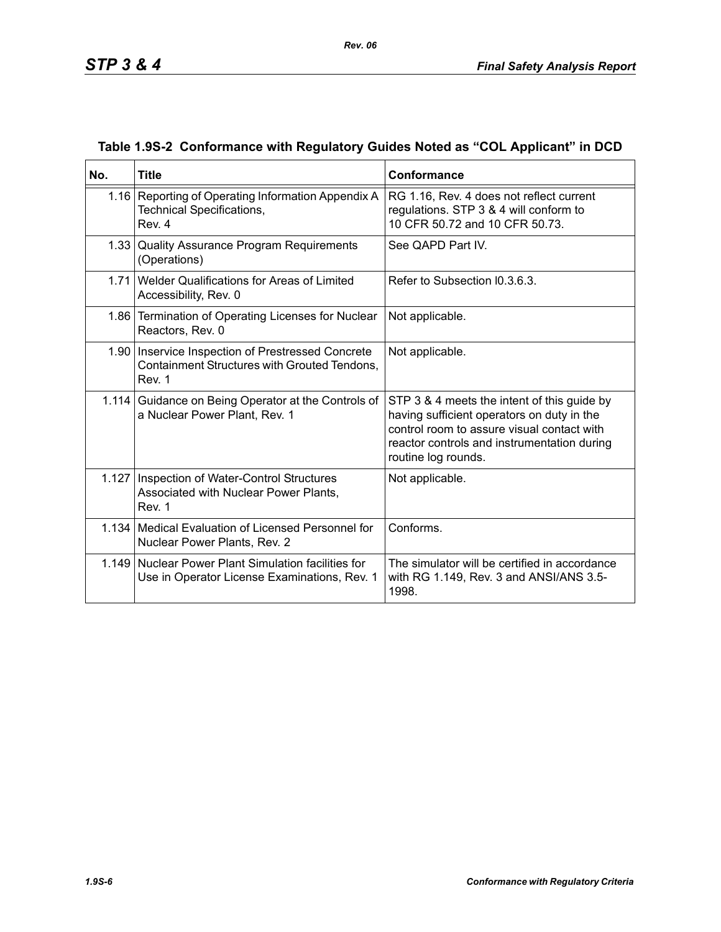| No.   | <b>Title</b>                                                                                                  | Conformance                                                                                                                                                                                                   |
|-------|---------------------------------------------------------------------------------------------------------------|---------------------------------------------------------------------------------------------------------------------------------------------------------------------------------------------------------------|
|       | 1.16 Reporting of Operating Information Appendix A<br>Technical Specifications,<br>Rev. 4                     | RG 1.16, Rev. 4 does not reflect current<br>regulations. STP 3 & 4 will conform to<br>10 CFR 50.72 and 10 CFR 50.73.                                                                                          |
|       | 1.33 Quality Assurance Program Requirements<br>(Operations)                                                   | See QAPD Part IV.                                                                                                                                                                                             |
|       | 1.71 Welder Qualifications for Areas of Limited<br>Accessibility, Rev. 0                                      | Refer to Subsection I0.3.6.3.                                                                                                                                                                                 |
|       | 1.86 Termination of Operating Licenses for Nuclear<br>Reactors, Rev. 0                                        | Not applicable.                                                                                                                                                                                               |
|       | 1.90   Inservice Inspection of Prestressed Concrete<br>Containment Structures with Grouted Tendons,<br>Rev. 1 | Not applicable.                                                                                                                                                                                               |
| 1.114 | Guidance on Being Operator at the Controls of<br>a Nuclear Power Plant, Rev. 1                                | STP 3 & 4 meets the intent of this guide by<br>having sufficient operators on duty in the<br>control room to assure visual contact with<br>reactor controls and instrumentation during<br>routine log rounds. |
|       | 1.127   Inspection of Water-Control Structures<br>Associated with Nuclear Power Plants,<br>Rev. 1             | Not applicable.                                                                                                                                                                                               |
|       | 1.134 Medical Evaluation of Licensed Personnel for<br>Nuclear Power Plants, Rev. 2                            | Conforms.                                                                                                                                                                                                     |
|       | 1.149 Nuclear Power Plant Simulation facilities for<br>Use in Operator License Examinations, Rev. 1           | The simulator will be certified in accordance<br>with RG 1.149, Rev. 3 and ANSI/ANS 3.5-<br>1998.                                                                                                             |

## **Table 1.9S-2 Conformance with Regulatory Guides Noted as "COL Applicant" in DCD**

*Rev. 06*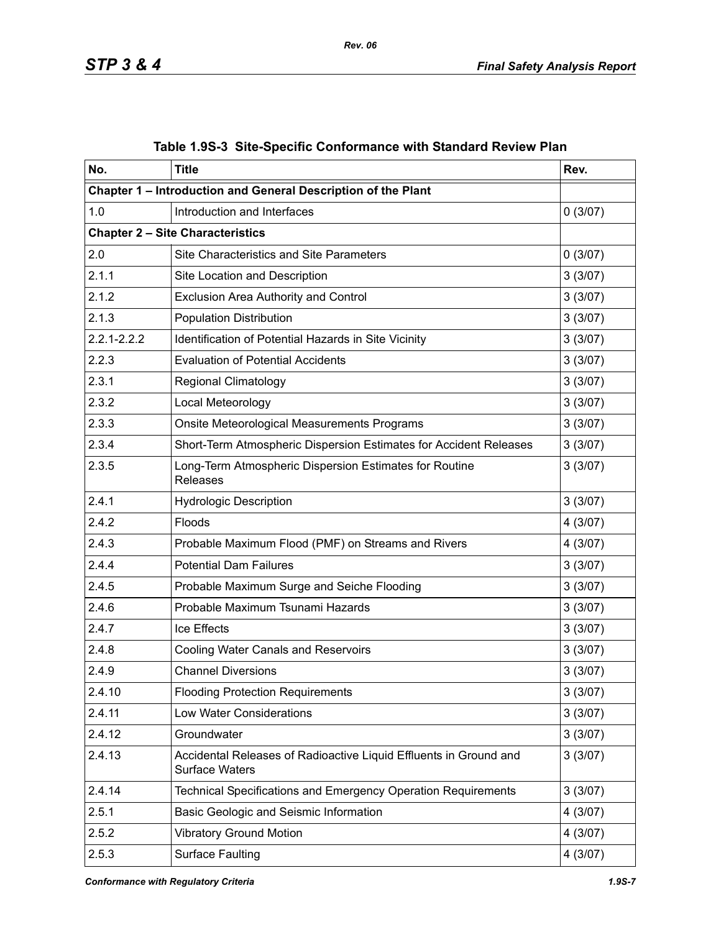| No.             | <b>Title</b>                                                                               | Rev.     |  |
|-----------------|--------------------------------------------------------------------------------------------|----------|--|
|                 | Chapter 1 - Introduction and General Description of the Plant                              |          |  |
| 1.0             | Introduction and Interfaces                                                                | 0(3/07)  |  |
|                 | <b>Chapter 2 - Site Characteristics</b>                                                    |          |  |
| 2.0             | <b>Site Characteristics and Site Parameters</b>                                            | 0(3/07)  |  |
| 2.1.1           | Site Location and Description                                                              | 3(3/07)  |  |
| 2.1.2           | <b>Exclusion Area Authority and Control</b>                                                | 3(3/07)  |  |
| 2.1.3           | <b>Population Distribution</b>                                                             | 3(3/07)  |  |
| $2.2.1 - 2.2.2$ | Identification of Potential Hazards in Site Vicinity                                       | 3(3/07)  |  |
| 2.2.3           | <b>Evaluation of Potential Accidents</b>                                                   | 3(3/07)  |  |
| 2.3.1           | <b>Regional Climatology</b>                                                                | 3(3/07)  |  |
| 2.3.2           | Local Meteorology                                                                          | 3(3/07)  |  |
| 2.3.3           | Onsite Meteorological Measurements Programs                                                | 3(3/07)  |  |
| 2.3.4           | Short-Term Atmospheric Dispersion Estimates for Accident Releases                          | 3(3/07)  |  |
| 2.3.5           | Long-Term Atmospheric Dispersion Estimates for Routine<br><b>Releases</b>                  |          |  |
| 2.4.1           | <b>Hydrologic Description</b>                                                              | 3(3/07)  |  |
| 2.4.2           | Floods                                                                                     | 4(3/07)  |  |
| 2.4.3           | Probable Maximum Flood (PMF) on Streams and Rivers                                         | 4 (3/07) |  |
| 2.4.4           | <b>Potential Dam Failures</b>                                                              | 3(3/07)  |  |
| 2.4.5           | Probable Maximum Surge and Seiche Flooding                                                 | 3(3/07)  |  |
| 2.4.6           | Probable Maximum Tsunami Hazards                                                           | 3(3/07)  |  |
| 2.4.7           | Ice Effects                                                                                | 3(3/07)  |  |
| 2.4.8           | <b>Cooling Water Canals and Reservoirs</b>                                                 |          |  |
| 2.4.9           | <b>Channel Diversions</b>                                                                  | 3(3/07)  |  |
| 2.4.10          | <b>Flooding Protection Requirements</b>                                                    |          |  |
| 2.4.11          | <b>Low Water Considerations</b>                                                            |          |  |
| 2.4.12          | Groundwater                                                                                | 3(3/07)  |  |
| 2.4.13          | Accidental Releases of Radioactive Liquid Effluents in Ground and<br><b>Surface Waters</b> |          |  |
| 2.4.14          | Technical Specifications and Emergency Operation Requirements                              | 3(3/07)  |  |
| 2.5.1           | Basic Geologic and Seismic Information                                                     | 4 (3/07) |  |
| 2.5.2           | <b>Vibratory Ground Motion</b>                                                             | 4 (3/07) |  |
| 2.5.3           | Surface Faulting<br>4(3/07)                                                                |          |  |

# **Table 1.9S-3 Site-Specific Conformance with Standard Review Plan**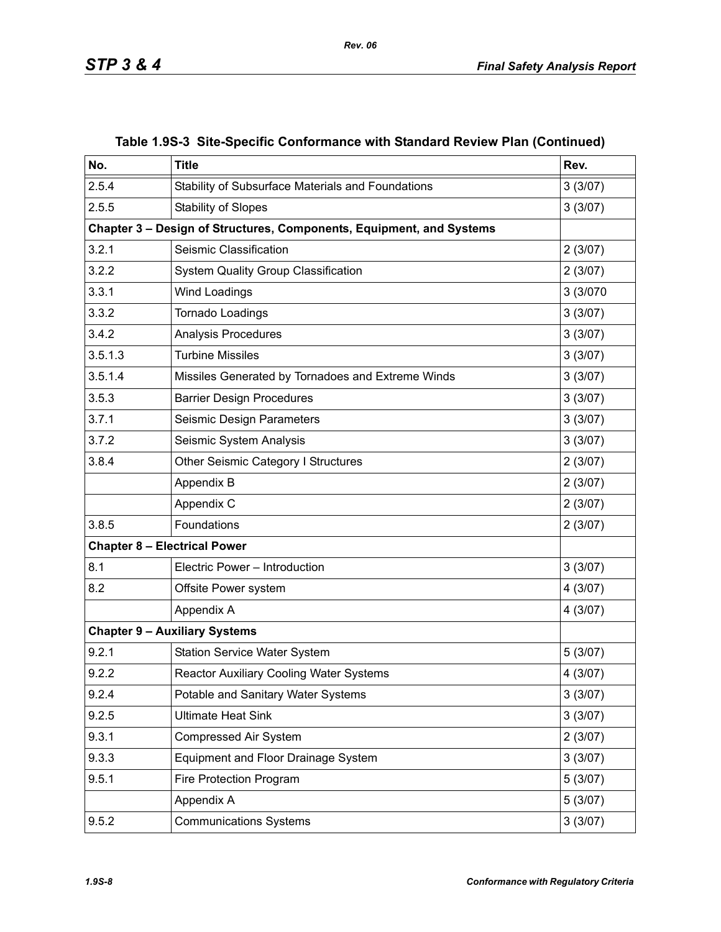| No.     | <b>Title</b>                                                         | Rev.     |
|---------|----------------------------------------------------------------------|----------|
| 2.5.4   | Stability of Subsurface Materials and Foundations                    | 3(3/07)  |
| 2.5.5   | <b>Stability of Slopes</b>                                           | 3(3/07)  |
|         | Chapter 3 - Design of Structures, Components, Equipment, and Systems |          |
| 3.2.1   | Seismic Classification                                               | 2(3/07)  |
| 3.2.2   | <b>System Quality Group Classification</b>                           | 2(3/07)  |
| 3.3.1   | Wind Loadings                                                        | 3 (3/070 |
| 3.3.2   | Tornado Loadings                                                     | 3(3/07)  |
| 3.4.2   | <b>Analysis Procedures</b>                                           | 3(3/07)  |
| 3.5.1.3 | <b>Turbine Missiles</b>                                              | 3(3/07)  |
| 3.5.1.4 | Missiles Generated by Tornadoes and Extreme Winds                    | 3(3/07)  |
| 3.5.3   | <b>Barrier Design Procedures</b>                                     | 3(3/07)  |
| 3.7.1   | Seismic Design Parameters                                            | 3(3/07)  |
| 3.7.2   | Seismic System Analysis                                              | 3(3/07)  |
| 3.8.4   | Other Seismic Category I Structures                                  | 2(3/07)  |
|         | Appendix B                                                           | 2(3/07)  |
|         | Appendix C                                                           | 2(3/07)  |
| 3.8.5   | Foundations                                                          | 2(3/07)  |
|         | <b>Chapter 8 - Electrical Power</b>                                  |          |
| 8.1     | Electric Power - Introduction                                        | 3(3/07)  |
| 8.2     | Offsite Power system                                                 | 4(3/07)  |
|         | Appendix A                                                           | 4(3/07)  |
|         | <b>Chapter 9 - Auxiliary Systems</b>                                 |          |
| 9.2.1   | <b>Station Service Water System</b>                                  | 5(3/07)  |
| 9.2.2   | <b>Reactor Auxiliary Cooling Water Systems</b>                       | 4(3/07)  |
| 9.2.4   | Potable and Sanitary Water Systems                                   | 3(3/07)  |
| 9.2.5   | <b>Ultimate Heat Sink</b><br>3(3/07)                                 |          |
| 9.3.1   | <b>Compressed Air System</b>                                         | 2(3/07)  |
| 9.3.3   | Equipment and Floor Drainage System                                  | 3(3/07)  |
| 9.5.1   | Fire Protection Program                                              | 5(3/07)  |
|         | Appendix A                                                           | 5(3/07)  |
| 9.5.2   | <b>Communications Systems</b>                                        | 3(3/07)  |

## **Table 1.9S-3 Site-Specific Conformance with Standard Review Plan (Continued)**

*Rev. 06*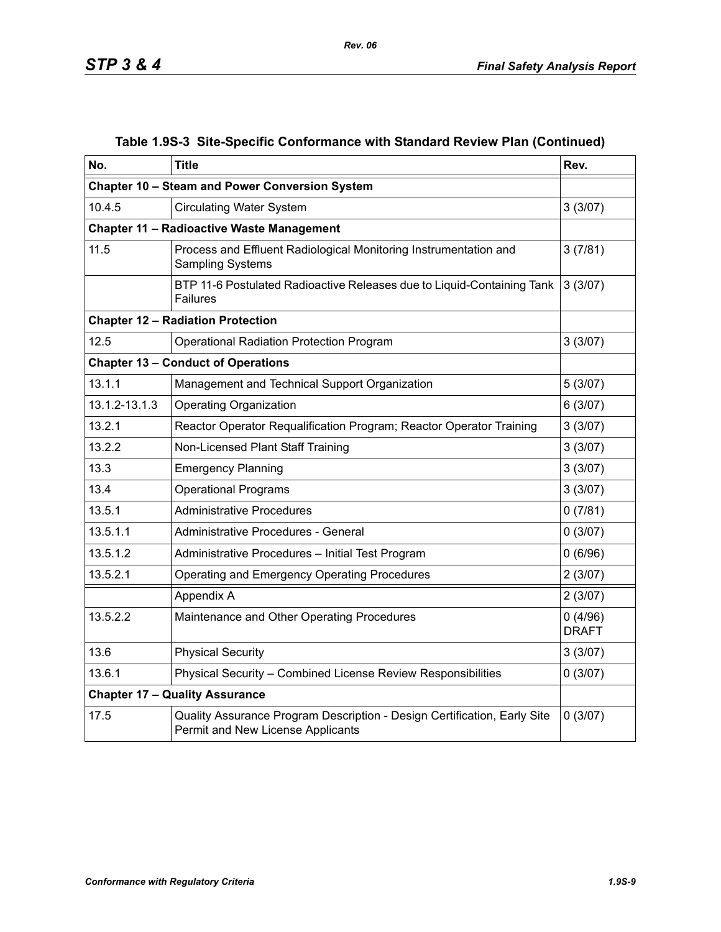| No.           | <b>Title</b>                                                                                                  | Rev.    |  |
|---------------|---------------------------------------------------------------------------------------------------------------|---------|--|
|               | Chapter 10 - Steam and Power Conversion System                                                                |         |  |
| 10.4.5        | 3(3/07)<br><b>Circulating Water System</b>                                                                    |         |  |
|               | <b>Chapter 11 - Radioactive Waste Management</b>                                                              |         |  |
| 11.5          | Process and Effluent Radiological Monitoring Instrumentation and<br><b>Sampling Systems</b>                   | 3(7/81) |  |
|               | BTP 11-6 Postulated Radioactive Releases due to Liquid-Containing Tank<br><b>Failures</b>                     | 3(3/07) |  |
|               | <b>Chapter 12 - Radiation Protection</b>                                                                      |         |  |
| 12.5          | <b>Operational Radiation Protection Program</b>                                                               | 3(3/07) |  |
|               | <b>Chapter 13 - Conduct of Operations</b>                                                                     |         |  |
| 13.1.1        | Management and Technical Support Organization                                                                 | 5(3/07) |  |
| 13.1.2-13.1.3 | <b>Operating Organization</b>                                                                                 | 6(3/07) |  |
| 13.2.1        | Reactor Operator Requalification Program; Reactor Operator Training                                           | 3(3/07) |  |
| 13.2.2        | Non-Licensed Plant Staff Training                                                                             | 3(3/07) |  |
| 13.3          | <b>Emergency Planning</b>                                                                                     | 3(3/07) |  |
| 13.4          | <b>Operational Programs</b>                                                                                   | 3(3/07) |  |
| 13.5.1        | <b>Administrative Procedures</b>                                                                              | 0(7/81) |  |
| 13.5.1.1      | Administrative Procedures - General                                                                           | 0(3/07) |  |
| 13.5.1.2      | Administrative Procedures - Initial Test Program                                                              | 0(6/96) |  |
| 13.5.2.1      | <b>Operating and Emergency Operating Procedures</b>                                                           | 2(3/07) |  |
|               | Appendix A                                                                                                    | 2(3/07) |  |
| 13.5.2.2      | Maintenance and Other Operating Procedures                                                                    |         |  |
| 13.6          | <b>Physical Security</b>                                                                                      | 3(3/07) |  |
| 13.6.1        | Physical Security - Combined License Review Responsibilities                                                  | 0(3/07) |  |
|               | <b>Chapter 17 - Quality Assurance</b>                                                                         |         |  |
| 17.5          | Quality Assurance Program Description - Design Certification, Early Site<br>Permit and New License Applicants | 0(3/07) |  |

### **Table 1.9S-3 Site-Specific Conformance with Standard Review Plan (Continued)**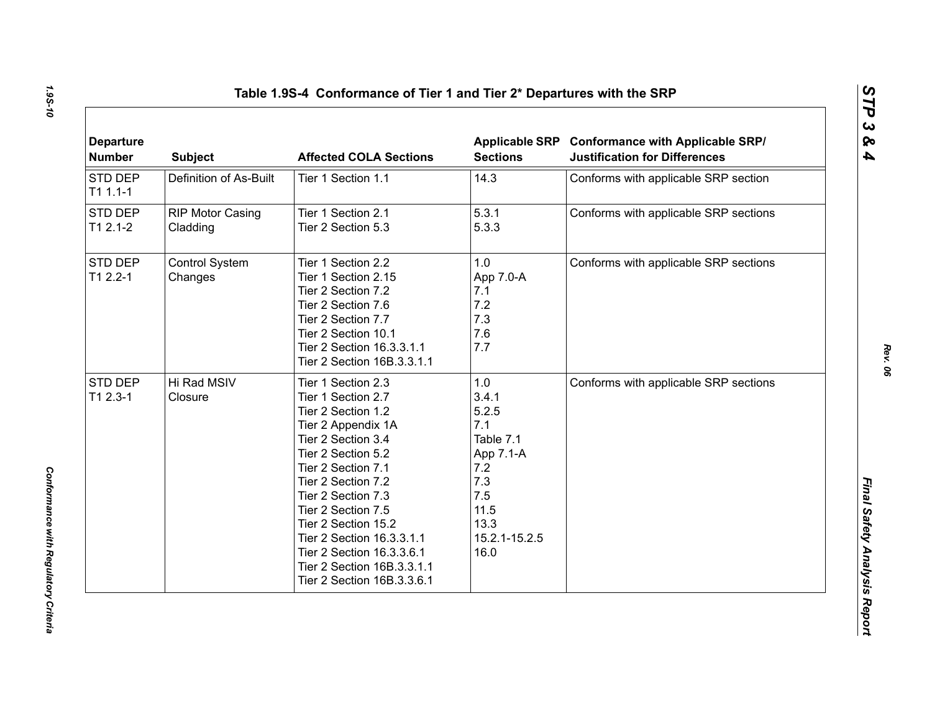| <b>Departure</b><br><b>Number</b> | <b>Subject</b>                      | <b>Affected COLA Sections</b>                                                                                                                                                                                                                                                                                                                                         | <b>Sections</b>                                                                                                      | Applicable SRP Conformance with Applicable SRP/<br><b>Justification for Differences</b> |
|-----------------------------------|-------------------------------------|-----------------------------------------------------------------------------------------------------------------------------------------------------------------------------------------------------------------------------------------------------------------------------------------------------------------------------------------------------------------------|----------------------------------------------------------------------------------------------------------------------|-----------------------------------------------------------------------------------------|
| STD DEP<br>$T11.1-1$              | Definition of As-Built              | Tier 1 Section 1.1                                                                                                                                                                                                                                                                                                                                                    | 14.3                                                                                                                 | Conforms with applicable SRP section                                                    |
| STD DEP<br>$T12.1-2$              | <b>RIP Motor Casing</b><br>Cladding | Tier 1 Section 2.1<br>Tier 2 Section 5.3                                                                                                                                                                                                                                                                                                                              | 5.3.1<br>5.3.3                                                                                                       | Conforms with applicable SRP sections                                                   |
| STD DEP<br>$T12.2 - 1$            | Control System<br>Changes           | Tier 1 Section 2.2<br>Tier 1 Section 2.15<br>Tier 2 Section 7.2<br>Tier 2 Section 7.6<br>Tier 2 Section 7.7<br>Tier 2 Section 10.1<br>Tier 2 Section 16.3.3.1.1<br>Tier 2 Section 16B.3.3.1.1                                                                                                                                                                         | 1.0<br>App 7.0-A<br>7.1<br>7.2<br>7.3<br>7.6<br>7.7                                                                  | Conforms with applicable SRP sections                                                   |
| STD DEP<br>$T12.3-1$              | Hi Rad MSIV<br>Closure              | Tier 1 Section 2.3<br>Tier 1 Section 2.7<br>Tier 2 Section 1.2<br>Tier 2 Appendix 1A<br>Tier 2 Section 3.4<br>Tier 2 Section 5.2<br>Tier 2 Section 7.1<br>Tier 2 Section 7.2<br>Tier 2 Section 7.3<br>Tier 2 Section 7.5<br>Tier 2 Section 15.2<br>Tier 2 Section 16.3.3.1.1<br>Tier 2 Section 16.3.3.6.1<br>Tier 2 Section 16B.3.3.1.1<br>Tier 2 Section 16B.3.3.6.1 | 1.0<br>3.4.1<br>5.2.5<br>7.1<br>Table 7.1<br>App 7.1-A<br>7.2<br>7.3<br>7.5<br>11.5<br>13.3<br>15.2.1-15.2.5<br>16.0 | Conforms with applicable SRP sections                                                   |

*1.9S-10*

*Rev. 06*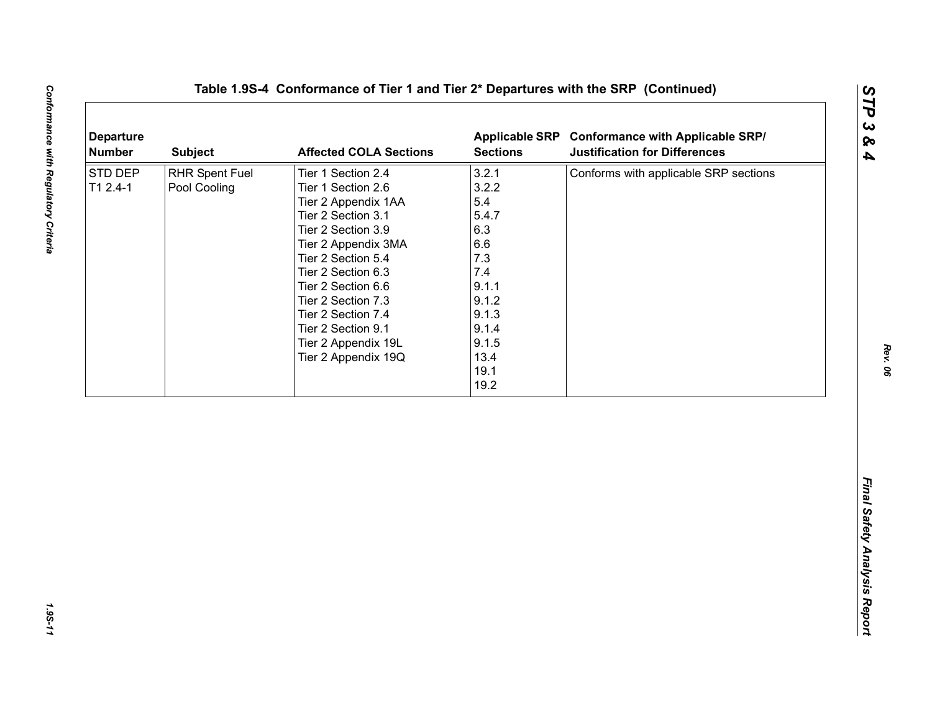| <b>Departure</b><br><b>Number</b> | <b>Subject</b>                 | <b>Affected COLA Sections</b>                                                                                                                                                                                                                                                                                        | <b>Sections</b>                                                                                                                 | Applicable SRP Conformance with Applicable SRP/<br><b>Justification for Differences</b> |
|-----------------------------------|--------------------------------|----------------------------------------------------------------------------------------------------------------------------------------------------------------------------------------------------------------------------------------------------------------------------------------------------------------------|---------------------------------------------------------------------------------------------------------------------------------|-----------------------------------------------------------------------------------------|
| STD DEP<br>$T12.4-1$              | RHR Spent Fuel<br>Pool Cooling | Tier 1 Section 2.4<br>Tier 1 Section 2.6<br>Tier 2 Appendix 1AA<br>Tier 2 Section 3.1<br>Tier 2 Section 3.9<br>Tier 2 Appendix 3MA<br>Tier 2 Section 5.4<br>Tier 2 Section 6.3<br>Tier 2 Section 6.6<br>Tier 2 Section 7.3<br>Tier 2 Section 7.4<br>Tier 2 Section 9.1<br>Tier 2 Appendix 19L<br>Tier 2 Appendix 19Q | 3.2.1<br>3.2.2<br>5.4<br>5.4.7<br>6.3<br>6.6<br>7.3<br>7.4<br>9.1.1<br>9.1.2<br>9.1.3<br>9.1.4<br>9.1.5<br>13.4<br>19.1<br>19.2 | Conforms with applicable SRP sections                                                   |
|                                   |                                |                                                                                                                                                                                                                                                                                                                      |                                                                                                                                 |                                                                                         |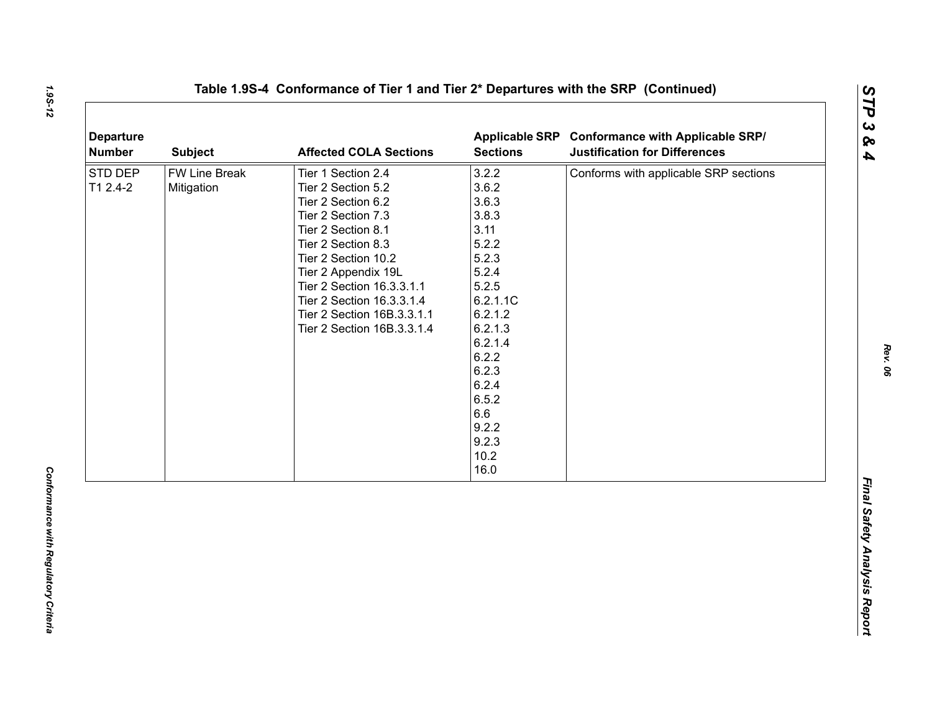| <b>Departure</b><br><b>Number</b> | <b>Subject</b>              | <b>Affected COLA Sections</b>                                                                                                                                                                                                                                                                        | <b>Sections</b>                                                                                                                                                                                        | Applicable SRP Conformance with Applicable SRP/<br><b>Justification for Differences</b> |
|-----------------------------------|-----------------------------|------------------------------------------------------------------------------------------------------------------------------------------------------------------------------------------------------------------------------------------------------------------------------------------------------|--------------------------------------------------------------------------------------------------------------------------------------------------------------------------------------------------------|-----------------------------------------------------------------------------------------|
| STD DEP<br>T1 2.4-2               | FW Line Break<br>Mitigation | Tier 1 Section 2.4<br>Tier 2 Section 5.2<br>Tier 2 Section 6.2<br>Tier 2 Section 7.3<br>Tier 2 Section 8.1<br>Tier 2 Section 8.3<br>Tier 2 Section 10.2<br>Tier 2 Appendix 19L<br>Tier 2 Section 16.3.3.1.1<br>Tier 2 Section 16.3.3.1.4<br>Tier 2 Section 16B.3.3.1.1<br>Tier 2 Section 16B.3.3.1.4 | 3.2.2<br>3.6.2<br>3.6.3<br>3.8.3<br>3.11<br>5.2.2<br>5.2.3<br>5.2.4<br>5.2.5<br>6.2.1.1C<br>6.2.1.2<br>6.2.1.3<br>6.2.1.4<br>6.2.2<br>6.2.3<br>6.2.4<br>6.5.2<br>6.6<br>9.2.2<br>9.2.3<br>10.2<br>16.0 | Conforms with applicable SRP sections                                                   |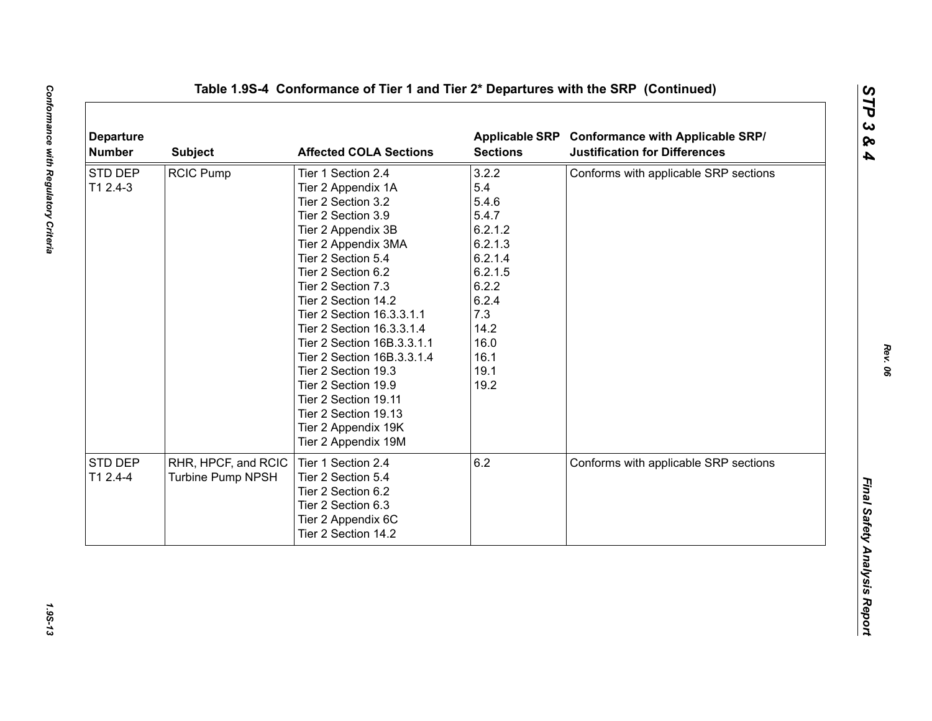| <b>Departure</b><br><b>Number</b> | <b>Subject</b>      | <b>Affected COLA Sections</b> | <b>Sections</b> | Applicable SRP Conformance with Applicable SRP/<br><b>Justification for Differences</b> |
|-----------------------------------|---------------------|-------------------------------|-----------------|-----------------------------------------------------------------------------------------|
| STD DEP                           | <b>RCIC Pump</b>    | Tier 1 Section 2.4            | 3.2.2           | Conforms with applicable SRP sections                                                   |
| T1 2.4-3                          |                     | Tier 2 Appendix 1A            | 5.4             |                                                                                         |
|                                   |                     | Tier 2 Section 3.2            | 5.4.6           |                                                                                         |
|                                   |                     | Tier 2 Section 3.9            | 5.4.7           |                                                                                         |
|                                   |                     | Tier 2 Appendix 3B            | 6.2.1.2         |                                                                                         |
|                                   |                     | Tier 2 Appendix 3MA           | 6.2.1.3         |                                                                                         |
|                                   |                     | Tier 2 Section 5.4            | 6.2.1.4         |                                                                                         |
|                                   |                     | Tier 2 Section 6.2            | 6.2.1.5         |                                                                                         |
|                                   |                     | Tier 2 Section 7.3            | 6.2.2           |                                                                                         |
|                                   |                     | Tier 2 Section 14.2           | 6.2.4           |                                                                                         |
|                                   |                     | Tier 2 Section 16.3.3.1.1     | 7.3             |                                                                                         |
|                                   |                     | Tier 2 Section 16.3.3.1.4     | 14.2            |                                                                                         |
|                                   |                     | Tier 2 Section 16B.3.3.1.1    | 16.0            |                                                                                         |
|                                   |                     | Tier 2 Section 16B.3.3.1.4    | 16.1            |                                                                                         |
|                                   |                     | Tier 2 Section 19.3           | 19.1            |                                                                                         |
|                                   |                     | Tier 2 Section 19.9           | 19.2            |                                                                                         |
|                                   |                     | Tier 2 Section 19.11          |                 |                                                                                         |
|                                   |                     | Tier 2 Section 19.13          |                 |                                                                                         |
|                                   |                     | Tier 2 Appendix 19K           |                 |                                                                                         |
|                                   |                     | Tier 2 Appendix 19M           |                 |                                                                                         |
| STD DEP                           | RHR, HPCF, and RCIC | Tier 1 Section 2.4            | 6.2             | Conforms with applicable SRP sections                                                   |
| T1 2.4-4                          | Turbine Pump NPSH   | Tier 2 Section 5.4            |                 |                                                                                         |
|                                   |                     | Tier 2 Section 6.2            |                 |                                                                                         |
|                                   |                     | Tier 2 Section 6.3            |                 |                                                                                         |
|                                   |                     | Tier 2 Appendix 6C            |                 |                                                                                         |
|                                   |                     | Tier 2 Section 14.2           |                 |                                                                                         |
|                                   |                     |                               |                 |                                                                                         |

1.95-13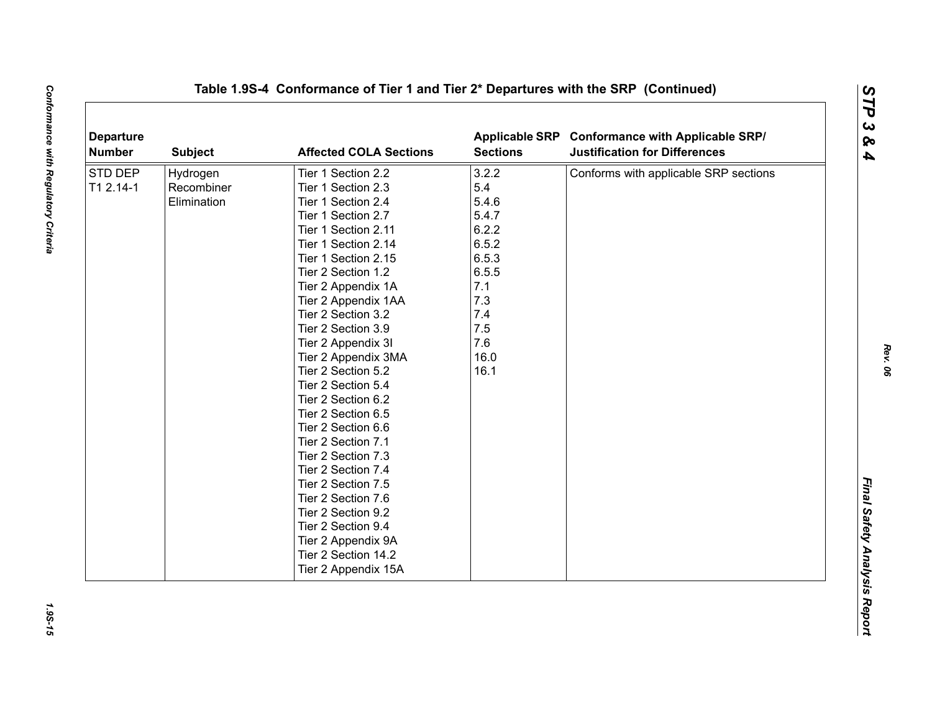| <b>Departure</b><br><b>Number</b> | <b>Subject</b> | <b>Affected COLA Sections</b> | <b>Sections</b> | Applicable SRP Conformance with Applicable SRP/<br><b>Justification for Differences</b> |
|-----------------------------------|----------------|-------------------------------|-----------------|-----------------------------------------------------------------------------------------|
| <b>STD DEP</b>                    | Hydrogen       | Tier 1 Section 2.2            | 3.2.2           | Conforms with applicable SRP sections                                                   |
| T1 2.14-1                         | Recombiner     | Tier 1 Section 2.3            | 5.4             |                                                                                         |
|                                   | Elimination    | Tier 1 Section 2.4            | 5.4.6           |                                                                                         |
|                                   |                | Tier 1 Section 2.7            | 5.4.7           |                                                                                         |
|                                   |                | Tier 1 Section 2.11           | 6.2.2           |                                                                                         |
|                                   |                | Tier 1 Section 2.14           | 6.5.2           |                                                                                         |
|                                   |                | Tier 1 Section 2.15           | 6.5.3           |                                                                                         |
|                                   |                | Tier 2 Section 1.2            | 6.5.5           |                                                                                         |
|                                   |                | Tier 2 Appendix 1A            | 7.1             |                                                                                         |
|                                   |                | Tier 2 Appendix 1AA           | 7.3             |                                                                                         |
|                                   |                | Tier 2 Section 3.2            | 7.4             |                                                                                         |
|                                   |                | Tier 2 Section 3.9            | 7.5             |                                                                                         |
|                                   |                | Tier 2 Appendix 3I            | 7.6             |                                                                                         |
|                                   |                | Tier 2 Appendix 3MA           | 16.0            |                                                                                         |
|                                   |                | Tier 2 Section 5.2            | 16.1            |                                                                                         |
|                                   |                | Tier 2 Section 5.4            |                 |                                                                                         |
|                                   |                | Tier 2 Section 6.2            |                 |                                                                                         |
|                                   |                | Tier 2 Section 6.5            |                 |                                                                                         |
|                                   |                | Tier 2 Section 6.6            |                 |                                                                                         |
|                                   |                | Tier 2 Section 7.1            |                 |                                                                                         |
|                                   |                | Tier 2 Section 7.3            |                 |                                                                                         |
|                                   |                | Tier 2 Section 7.4            |                 |                                                                                         |
|                                   |                | Tier 2 Section 7.5            |                 |                                                                                         |
|                                   |                | Tier 2 Section 7.6            |                 |                                                                                         |
|                                   |                | Tier 2 Section 9.2            |                 |                                                                                         |
|                                   |                | Tier 2 Section 9.4            |                 |                                                                                         |
|                                   |                | Tier 2 Appendix 9A            |                 |                                                                                         |
|                                   |                | Tier 2 Section 14.2           |                 |                                                                                         |
|                                   |                | Tier 2 Appendix 15A           |                 |                                                                                         |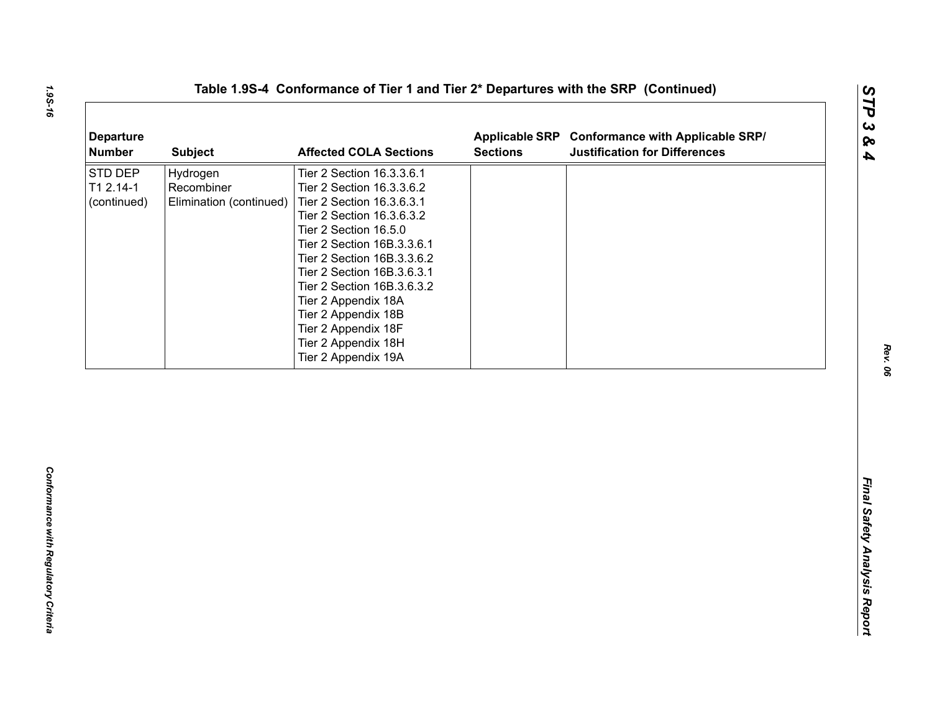| <b>Departure</b><br><b>Number</b>   | <b>Subject</b>                                    | <b>Affected COLA Sections</b>                                                                                                                                                                                                                                                                                                                                                        | <b>Sections</b> | Applicable SRP Conformance with Applicable SRP/<br><b>Justification for Differences</b> |
|-------------------------------------|---------------------------------------------------|--------------------------------------------------------------------------------------------------------------------------------------------------------------------------------------------------------------------------------------------------------------------------------------------------------------------------------------------------------------------------------------|-----------------|-----------------------------------------------------------------------------------------|
| STD DEP<br>T1 2.14-1<br>(continued) | Hydrogen<br>Recombiner<br>Elimination (continued) | Tier 2 Section 16.3.3.6.1<br>Tier 2 Section 16.3.3.6.2<br>Tier 2 Section 16.3.6.3.1<br>Tier 2 Section 16.3.6.3.2<br>Tier 2 Section 16.5.0<br>Tier 2 Section 16B.3.3.6.1<br>Tier 2 Section 16B.3.3.6.2<br>Tier 2 Section 16B.3.6.3.1<br>Tier 2 Section 16B.3.6.3.2<br>Tier 2 Appendix 18A<br>Tier 2 Appendix 18B<br>Tier 2 Appendix 18F<br>Tier 2 Appendix 18H<br>Tier 2 Appendix 19A |                 |                                                                                         |
|                                     |                                                   |                                                                                                                                                                                                                                                                                                                                                                                      |                 |                                                                                         |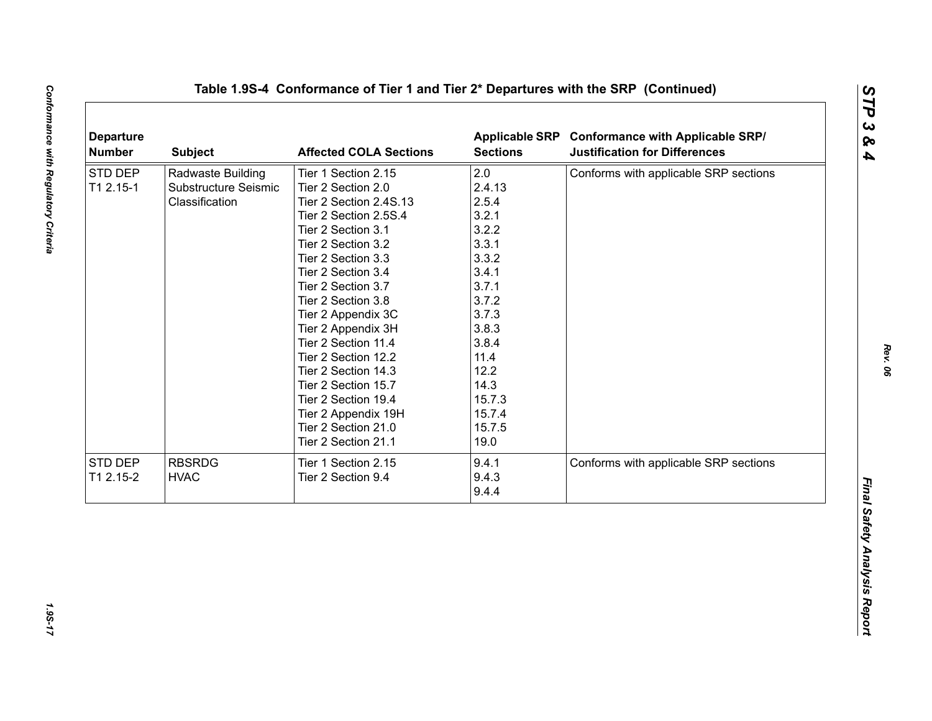| <b>Departure</b><br><b>Number</b> | <b>Subject</b>       | <b>Affected COLA Sections</b> | <b>Sections</b> | Applicable SRP Conformance with Applicable SRP/<br><b>Justification for Differences</b> |
|-----------------------------------|----------------------|-------------------------------|-----------------|-----------------------------------------------------------------------------------------|
| STD DEP                           | Radwaste Building    | Tier 1 Section 2.15           | 2.0             | Conforms with applicable SRP sections                                                   |
| T1 2.15-1                         | Substructure Seismic | Tier 2 Section 2.0            | 2.4.13          |                                                                                         |
|                                   | Classification       | Tier 2 Section 2.4S.13        | 2.5.4           |                                                                                         |
|                                   |                      | Tier 2 Section 2.5S.4         | 3.2.1           |                                                                                         |
|                                   |                      | Tier 2 Section 3.1            | 3.2.2           |                                                                                         |
|                                   |                      | Tier 2 Section 3.2            | 3.3.1           |                                                                                         |
|                                   |                      | Tier 2 Section 3.3            | 3.3.2           |                                                                                         |
|                                   |                      | Tier 2 Section 3.4            | 3.4.1           |                                                                                         |
|                                   |                      | Tier 2 Section 3.7            | 3.7.1           |                                                                                         |
|                                   |                      | Tier 2 Section 3.8            | 3.7.2           |                                                                                         |
|                                   |                      | Tier 2 Appendix 3C            | 3.7.3           |                                                                                         |
|                                   |                      | Tier 2 Appendix 3H            | 3.8.3           |                                                                                         |
|                                   |                      | Tier 2 Section 11.4           | 3.8.4           |                                                                                         |
|                                   |                      | Tier 2 Section 12.2           | 11.4            |                                                                                         |
|                                   |                      | Tier 2 Section 14.3           | 12.2            |                                                                                         |
|                                   |                      | Tier 2 Section 15.7           | 14.3            |                                                                                         |
|                                   |                      | Tier 2 Section 19.4           | 15.7.3          |                                                                                         |
|                                   |                      | Tier 2 Appendix 19H           | 15.7.4          |                                                                                         |
|                                   |                      | Tier 2 Section 21.0           | 15.7.5          |                                                                                         |
|                                   |                      | Tier 2 Section 21.1           | 19.0            |                                                                                         |
| STD DEP                           | <b>RBSRDG</b>        | Tier 1 Section 2.15           | 9.4.1           | Conforms with applicable SRP sections                                                   |
|                                   |                      |                               |                 |                                                                                         |
|                                   |                      |                               |                 |                                                                                         |
| T1 2.15-2                         | <b>HVAC</b>          | Tier 2 Section 9.4            | 9.4.3<br>9.4.4  |                                                                                         |

1.95-17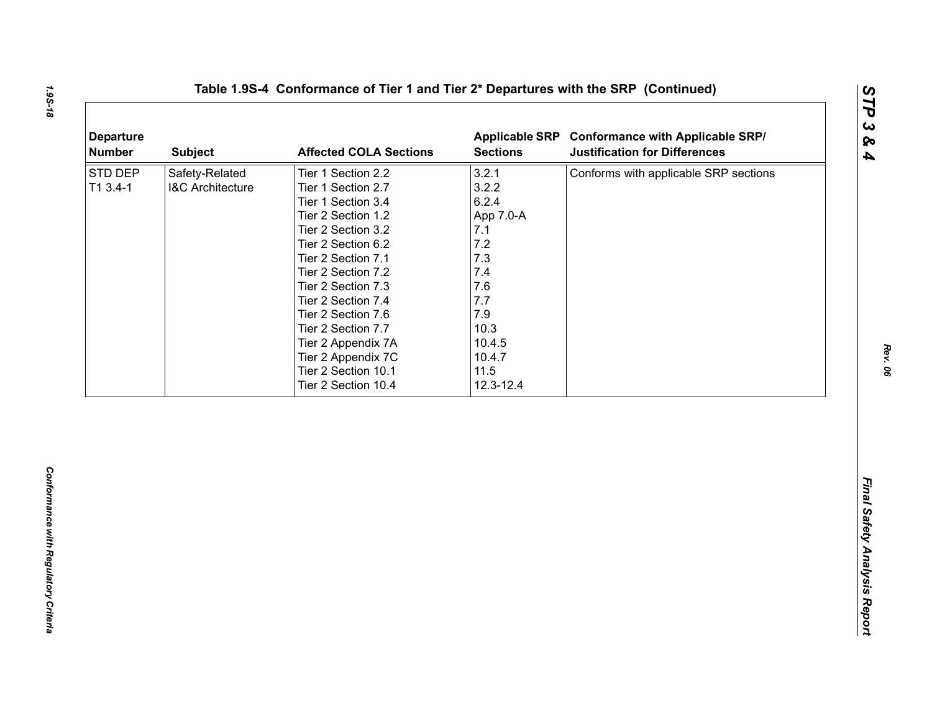| 3.2.1<br>Safety-Related<br>Conforms with applicable SRP sections<br>Tier 1 Section 2.2<br>3.2.2<br>T1 3.4-1<br><b>I&amp;C Architecture</b><br>Tier 1 Section 2.7<br>6.2.4<br>Tier 1 Section 3.4<br>Tier 2 Section 1.2<br>App 7.0-A<br>Tier 2 Section 3.2<br>7.1<br>$7.2$<br>Tier 2 Section 6.2<br>7.3<br>Tier 2 Section 7.1<br>7.4<br>Tier 2 Section 7.2<br>7.6<br>Tier 2 Section 7.3<br>7.7<br>Tier 2 Section 7.4<br>7.9<br>Tier 2 Section 7.6<br>10.3<br>Tier 2 Section 7.7<br>10.4.5<br>Tier 2 Appendix 7A<br>Tier 2 Appendix 7C<br>10.4.7<br>11.5<br>Tier 2 Section 10.1<br>Tier 2 Section 10.4<br>12.3-12.4 | <b>Departure</b><br><b>Number</b> | <b>Subject</b> | <b>Affected COLA Sections</b> | <b>Sections</b> | Applicable SRP Conformance with Applicable SRP/<br><b>Justification for Differences</b> |
|------------------------------------------------------------------------------------------------------------------------------------------------------------------------------------------------------------------------------------------------------------------------------------------------------------------------------------------------------------------------------------------------------------------------------------------------------------------------------------------------------------------------------------------------------------------------------------------------------------------|-----------------------------------|----------------|-------------------------------|-----------------|-----------------------------------------------------------------------------------------|
|                                                                                                                                                                                                                                                                                                                                                                                                                                                                                                                                                                                                                  | STD DEP                           |                |                               |                 |                                                                                         |
|                                                                                                                                                                                                                                                                                                                                                                                                                                                                                                                                                                                                                  |                                   |                |                               |                 |                                                                                         |
|                                                                                                                                                                                                                                                                                                                                                                                                                                                                                                                                                                                                                  |                                   |                |                               |                 |                                                                                         |
|                                                                                                                                                                                                                                                                                                                                                                                                                                                                                                                                                                                                                  |                                   |                |                               |                 |                                                                                         |
|                                                                                                                                                                                                                                                                                                                                                                                                                                                                                                                                                                                                                  |                                   |                |                               |                 |                                                                                         |
|                                                                                                                                                                                                                                                                                                                                                                                                                                                                                                                                                                                                                  |                                   |                |                               |                 |                                                                                         |
|                                                                                                                                                                                                                                                                                                                                                                                                                                                                                                                                                                                                                  |                                   |                |                               |                 |                                                                                         |
|                                                                                                                                                                                                                                                                                                                                                                                                                                                                                                                                                                                                                  |                                   |                |                               |                 |                                                                                         |
|                                                                                                                                                                                                                                                                                                                                                                                                                                                                                                                                                                                                                  |                                   |                |                               |                 |                                                                                         |
|                                                                                                                                                                                                                                                                                                                                                                                                                                                                                                                                                                                                                  |                                   |                |                               |                 |                                                                                         |
|                                                                                                                                                                                                                                                                                                                                                                                                                                                                                                                                                                                                                  |                                   |                |                               |                 |                                                                                         |
|                                                                                                                                                                                                                                                                                                                                                                                                                                                                                                                                                                                                                  |                                   |                |                               |                 |                                                                                         |
|                                                                                                                                                                                                                                                                                                                                                                                                                                                                                                                                                                                                                  |                                   |                |                               |                 |                                                                                         |
|                                                                                                                                                                                                                                                                                                                                                                                                                                                                                                                                                                                                                  |                                   |                |                               |                 |                                                                                         |
|                                                                                                                                                                                                                                                                                                                                                                                                                                                                                                                                                                                                                  |                                   |                |                               |                 |                                                                                         |
|                                                                                                                                                                                                                                                                                                                                                                                                                                                                                                                                                                                                                  |                                   |                |                               |                 |                                                                                         |
|                                                                                                                                                                                                                                                                                                                                                                                                                                                                                                                                                                                                                  |                                   |                |                               |                 |                                                                                         |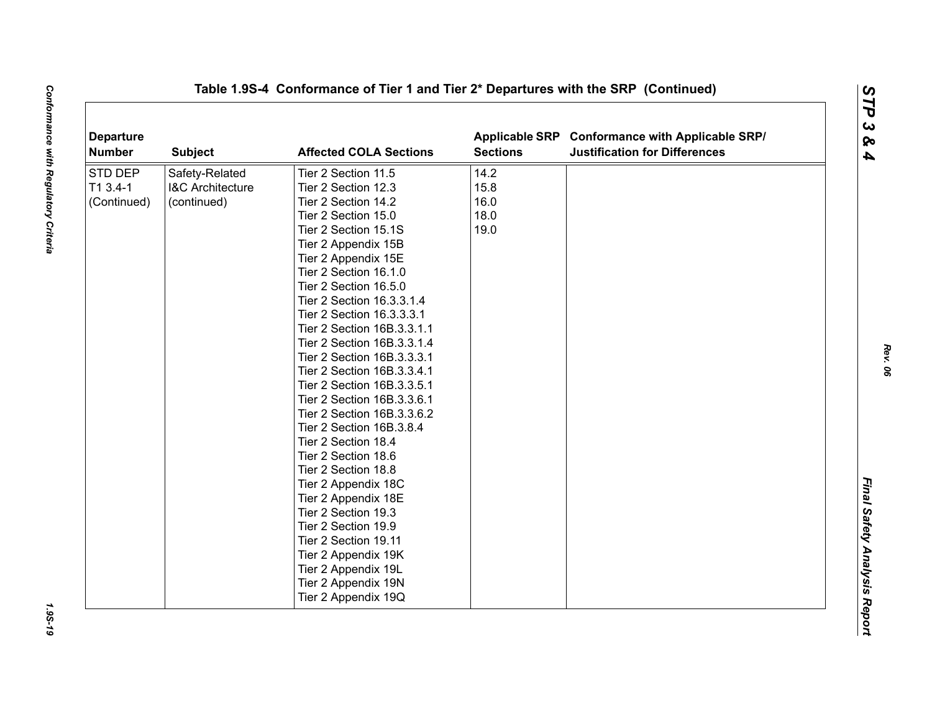| <b>Departure</b><br><b>Number</b> | <b>Subject</b>              | <b>Affected COLA Sections</b> | <b>Sections</b> | Applicable SRP Conformance with Applicable SRP/<br><b>Justification for Differences</b> |  |
|-----------------------------------|-----------------------------|-------------------------------|-----------------|-----------------------------------------------------------------------------------------|--|
| STD DEP                           | Safety-Related              | Tier 2 Section 11.5           | 14.2            |                                                                                         |  |
| T1 3.4-1                          | <b>I&amp;C Architecture</b> | Tier 2 Section 12.3           | 15.8            |                                                                                         |  |
| (Continued)                       | (continued)                 | Tier 2 Section 14.2           | 16.0            |                                                                                         |  |
|                                   |                             | Tier 2 Section 15.0           | 18.0            |                                                                                         |  |
|                                   |                             | Tier 2 Section 15.1S          | 19.0            |                                                                                         |  |
|                                   |                             | Tier 2 Appendix 15B           |                 |                                                                                         |  |
|                                   |                             | Tier 2 Appendix 15E           |                 |                                                                                         |  |
|                                   |                             | Tier 2 Section 16.1.0         |                 |                                                                                         |  |
|                                   |                             | Tier 2 Section 16.5.0         |                 |                                                                                         |  |
|                                   |                             | Tier 2 Section 16.3.3.1.4     |                 |                                                                                         |  |
|                                   |                             | Tier 2 Section 16.3.3.3.1     |                 |                                                                                         |  |
|                                   |                             | Tier 2 Section 16B.3.3.1.1    |                 |                                                                                         |  |
|                                   |                             | Tier 2 Section 16B.3.3.1.4    |                 |                                                                                         |  |
|                                   |                             | Tier 2 Section 16B.3.3.3.1    |                 |                                                                                         |  |
|                                   |                             | Tier 2 Section 16B.3.3.4.1    |                 |                                                                                         |  |
|                                   |                             | Tier 2 Section 16B.3.3.5.1    |                 |                                                                                         |  |
|                                   |                             | Tier 2 Section 16B.3.3.6.1    |                 |                                                                                         |  |
|                                   |                             | Tier 2 Section 16B.3.3.6.2    |                 |                                                                                         |  |
|                                   |                             | Tier 2 Section 16B.3.8.4      |                 |                                                                                         |  |
|                                   |                             | Tier 2 Section 18.4           |                 |                                                                                         |  |
|                                   |                             | Tier 2 Section 18.6           |                 |                                                                                         |  |
|                                   |                             | Tier 2 Section 18.8           |                 |                                                                                         |  |
|                                   |                             | Tier 2 Appendix 18C           |                 |                                                                                         |  |
|                                   |                             | Tier 2 Appendix 18E           |                 |                                                                                         |  |
|                                   |                             | Tier 2 Section 19.3           |                 |                                                                                         |  |
|                                   |                             | Tier 2 Section 19.9           |                 |                                                                                         |  |
|                                   |                             | Tier 2 Section 19.11          |                 |                                                                                         |  |
|                                   |                             | Tier 2 Appendix 19K           |                 |                                                                                         |  |
|                                   |                             | Tier 2 Appendix 19L           |                 |                                                                                         |  |
|                                   |                             | Tier 2 Appendix 19N           |                 |                                                                                         |  |
|                                   |                             | Tier 2 Appendix 19Q           |                 |                                                                                         |  |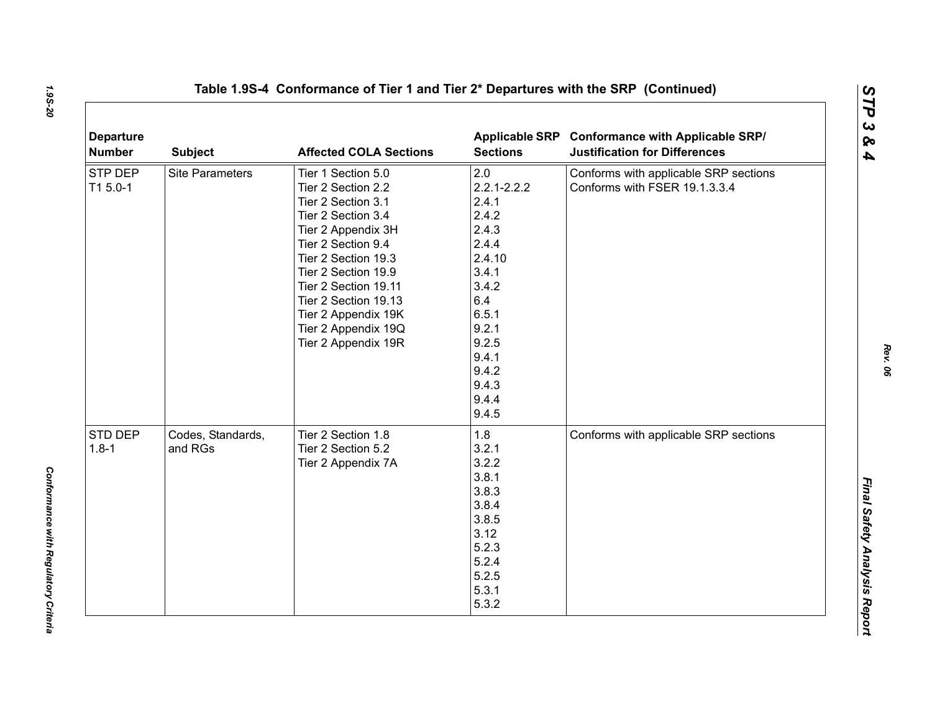| <b>Departure</b><br><b>Number</b> | <b>Subject</b>               | <b>Affected COLA Sections</b>                                                                                                                                                                                                                                                                       | <b>Sections</b>                                                                                                                                                       | Applicable SRP Conformance with Applicable SRP/<br><b>Justification for Differences</b> |
|-----------------------------------|------------------------------|-----------------------------------------------------------------------------------------------------------------------------------------------------------------------------------------------------------------------------------------------------------------------------------------------------|-----------------------------------------------------------------------------------------------------------------------------------------------------------------------|-----------------------------------------------------------------------------------------|
| STP DEP<br>T1 5.0-1               | <b>Site Parameters</b>       | Tier 1 Section 5.0<br>Tier 2 Section 2.2<br>Tier 2 Section 3.1<br>Tier 2 Section 3.4<br>Tier 2 Appendix 3H<br>Tier 2 Section 9.4<br>Tier 2 Section 19.3<br>Tier 2 Section 19.9<br>Tier 2 Section 19.11<br>Tier 2 Section 19.13<br>Tier 2 Appendix 19K<br>Tier 2 Appendix 19Q<br>Tier 2 Appendix 19R | 2.0<br>$2.2.1 - 2.2.2$<br>2.4.1<br>2.4.2<br>2.4.3<br>2.4.4<br>2.4.10<br>3.4.1<br>3.4.2<br>6.4<br>6.5.1<br>9.2.1<br>9.2.5<br>9.4.1<br>9.4.2<br>9.4.3<br>9.4.4<br>9.4.5 | Conforms with applicable SRP sections<br>Conforms with FSER 19.1.3.3.4                  |
| STD DEP<br>$1.8 - 1$              | Codes, Standards,<br>and RGs | Tier 2 Section 1.8<br>Tier 2 Section 5.2<br>Tier 2 Appendix 7A                                                                                                                                                                                                                                      | 1.8<br>3.2.1<br>3.2.2<br>3.8.1<br>3.8.3<br>3.8.4<br>3.8.5<br>3.12<br>5.2.3<br>5.2.4<br>5.2.5<br>5.3.1<br>5.3.2                                                        | Conforms with applicable SRP sections                                                   |

*Rev. 06*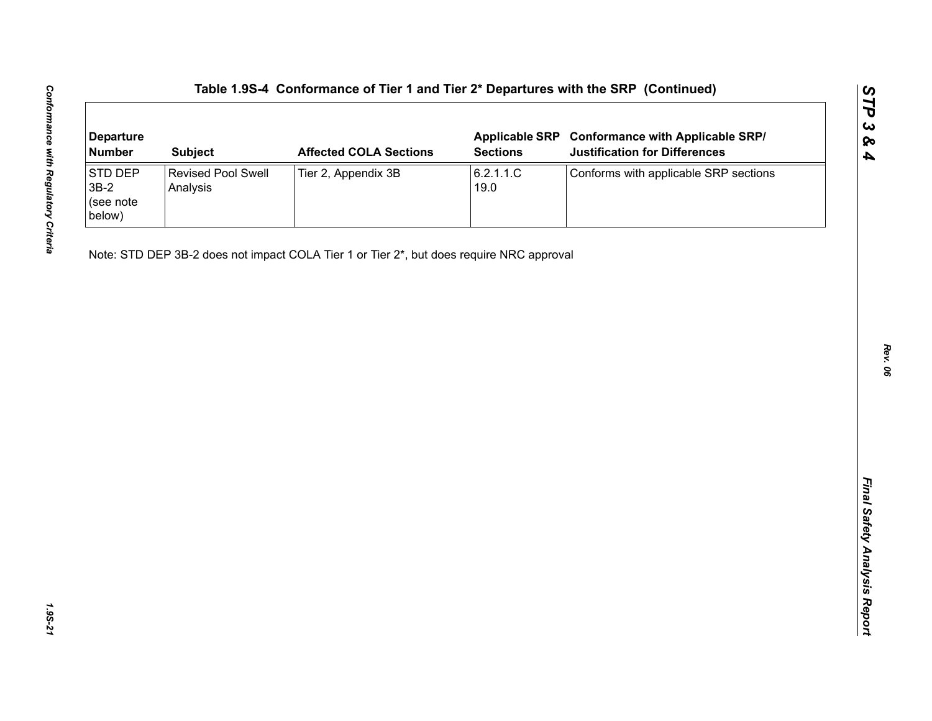| <b>Departure</b><br><b>Number</b>        | <b>Subject</b>                 | <b>Affected COLA Sections</b>                                                            | <b>Applicable SRP</b><br><b>Sections</b> | <b>Conformance with Applicable SRP/</b><br><b>Justification for Differences</b> |
|------------------------------------------|--------------------------------|------------------------------------------------------------------------------------------|------------------------------------------|---------------------------------------------------------------------------------|
| STD DEP<br>$3B-2$<br>(see note<br>below) | Revised Pool Swell<br>Analysis | Tier 2, Appendix 3B                                                                      | 6.2.1.1.C<br>19.0                        | Conforms with applicable SRP sections                                           |
|                                          |                                | Note: STD DEP 3B-2 does not impact COLA Tier 1 or Tier 2*, but does require NRC approval |                                          |                                                                                 |
|                                          |                                |                                                                                          |                                          |                                                                                 |
|                                          |                                |                                                                                          |                                          |                                                                                 |
|                                          |                                |                                                                                          |                                          |                                                                                 |
|                                          |                                |                                                                                          |                                          |                                                                                 |
|                                          |                                |                                                                                          |                                          |                                                                                 |
|                                          |                                |                                                                                          |                                          |                                                                                 |
|                                          |                                |                                                                                          |                                          |                                                                                 |
|                                          |                                |                                                                                          |                                          |                                                                                 |
|                                          |                                |                                                                                          |                                          |                                                                                 |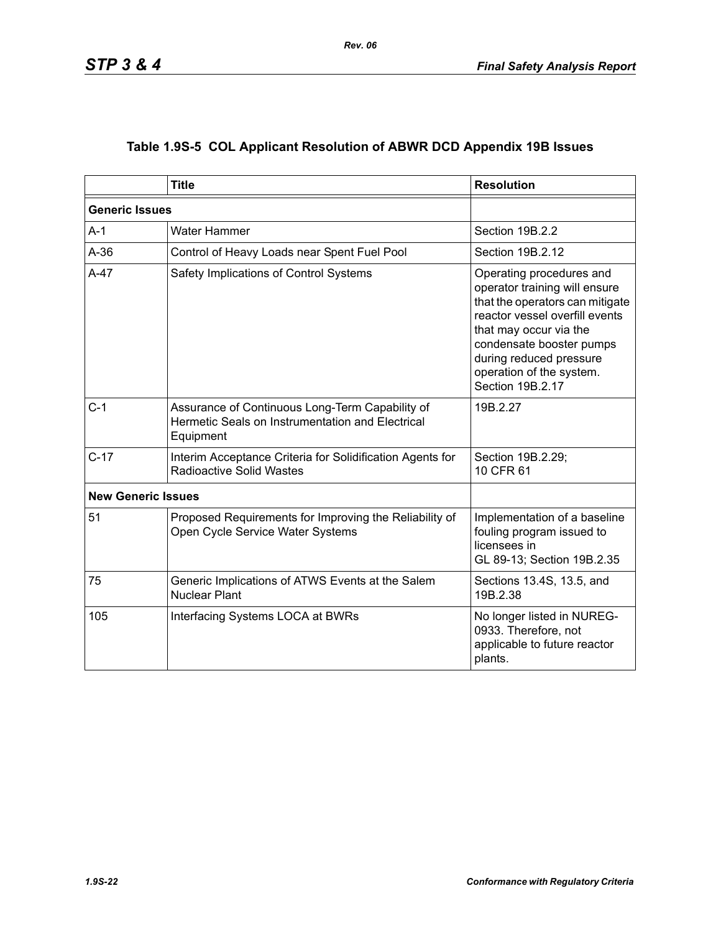|  | Table 1.9S-5 COL Applicant Resolution of ABWR DCD Appendix 19B Issues |  |  |  |  |
|--|-----------------------------------------------------------------------|--|--|--|--|
|--|-----------------------------------------------------------------------|--|--|--|--|

|                           | <b>Title</b>                                                                                                     | <b>Resolution</b>                                                                                                                                                                                                                                               |
|---------------------------|------------------------------------------------------------------------------------------------------------------|-----------------------------------------------------------------------------------------------------------------------------------------------------------------------------------------------------------------------------------------------------------------|
| <b>Generic Issues</b>     |                                                                                                                  |                                                                                                                                                                                                                                                                 |
| $A-1$                     | Water Hammer                                                                                                     | Section 19B.2.2                                                                                                                                                                                                                                                 |
| $A-36$                    | Control of Heavy Loads near Spent Fuel Pool                                                                      | Section 19B.2.12                                                                                                                                                                                                                                                |
| $A-47$                    | Safety Implications of Control Systems                                                                           | Operating procedures and<br>operator training will ensure<br>that the operators can mitigate<br>reactor vessel overfill events<br>that may occur via the<br>condensate booster pumps<br>during reduced pressure<br>operation of the system.<br>Section 19B.2.17 |
| $C-1$                     | Assurance of Continuous Long-Term Capability of<br>Hermetic Seals on Instrumentation and Electrical<br>Equipment | 19B.2.27                                                                                                                                                                                                                                                        |
| $C-17$                    | Interim Acceptance Criteria for Solidification Agents for<br><b>Radioactive Solid Wastes</b>                     | Section 19B.2.29;<br>10 CFR 61                                                                                                                                                                                                                                  |
| <b>New Generic Issues</b> |                                                                                                                  |                                                                                                                                                                                                                                                                 |
| 51                        | Proposed Requirements for Improving the Reliability of<br>Open Cycle Service Water Systems                       | Implementation of a baseline<br>fouling program issued to<br>licensees in<br>GL 89-13; Section 19B.2.35                                                                                                                                                         |
| 75                        | Generic Implications of ATWS Events at the Salem<br><b>Nuclear Plant</b>                                         | Sections 13.4S, 13.5, and<br>19B.2.38                                                                                                                                                                                                                           |
| 105                       | Interfacing Systems LOCA at BWRs                                                                                 | No longer listed in NUREG-<br>0933. Therefore, not<br>applicable to future reactor<br>plants.                                                                                                                                                                   |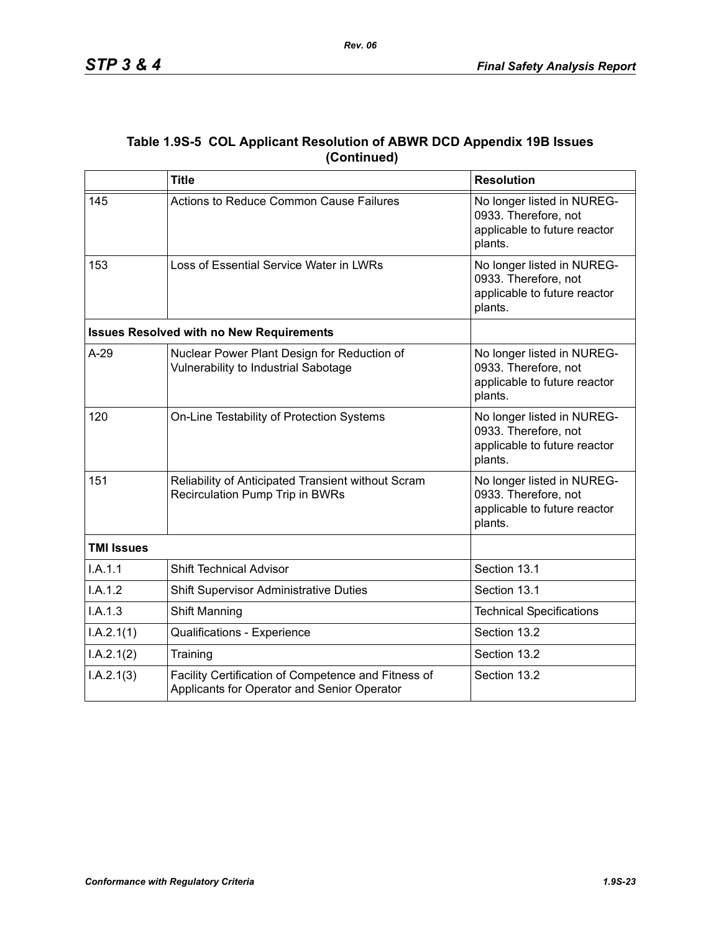|             | Table 1.9S-5 COL Applicant Resolution of ABWR DCD Appendix 19B Issues |
|-------------|-----------------------------------------------------------------------|
| (Continued) |                                                                       |

|                   | <b>Title</b>                                                                                       | <b>Resolution</b>                                                                             |
|-------------------|----------------------------------------------------------------------------------------------------|-----------------------------------------------------------------------------------------------|
| 145               | Actions to Reduce Common Cause Failures                                                            | No longer listed in NUREG-<br>0933. Therefore, not<br>applicable to future reactor<br>plants. |
| 153               | Loss of Essential Service Water in LWRs                                                            | No longer listed in NUREG-<br>0933. Therefore, not<br>applicable to future reactor<br>plants. |
|                   | <b>Issues Resolved with no New Requirements</b>                                                    |                                                                                               |
| $A-29$            | Nuclear Power Plant Design for Reduction of<br>Vulnerability to Industrial Sabotage                | No longer listed in NUREG-<br>0933. Therefore, not<br>applicable to future reactor<br>plants. |
| 120               | On-Line Testability of Protection Systems                                                          | No longer listed in NUREG-<br>0933. Therefore, not<br>applicable to future reactor<br>plants. |
| 151               | Reliability of Anticipated Transient without Scram<br>Recirculation Pump Trip in BWRs              | No longer listed in NUREG-<br>0933. Therefore, not<br>applicable to future reactor<br>plants. |
| <b>TMI Issues</b> |                                                                                                    |                                                                                               |
| I.A.1.1           | <b>Shift Technical Advisor</b>                                                                     | Section 13.1                                                                                  |
| I.A.1.2           | <b>Shift Supervisor Administrative Duties</b>                                                      | Section 13.1                                                                                  |
| I.A.1.3           | Shift Manning                                                                                      | <b>Technical Specifications</b>                                                               |
| I.A.2.1(1)        | Qualifications - Experience                                                                        | Section 13.2                                                                                  |
| I.A.2.1(2)        | Training                                                                                           | Section 13.2                                                                                  |
| I.A.2.1(3)        | Facility Certification of Competence and Fitness of<br>Applicants for Operator and Senior Operator | Section 13.2                                                                                  |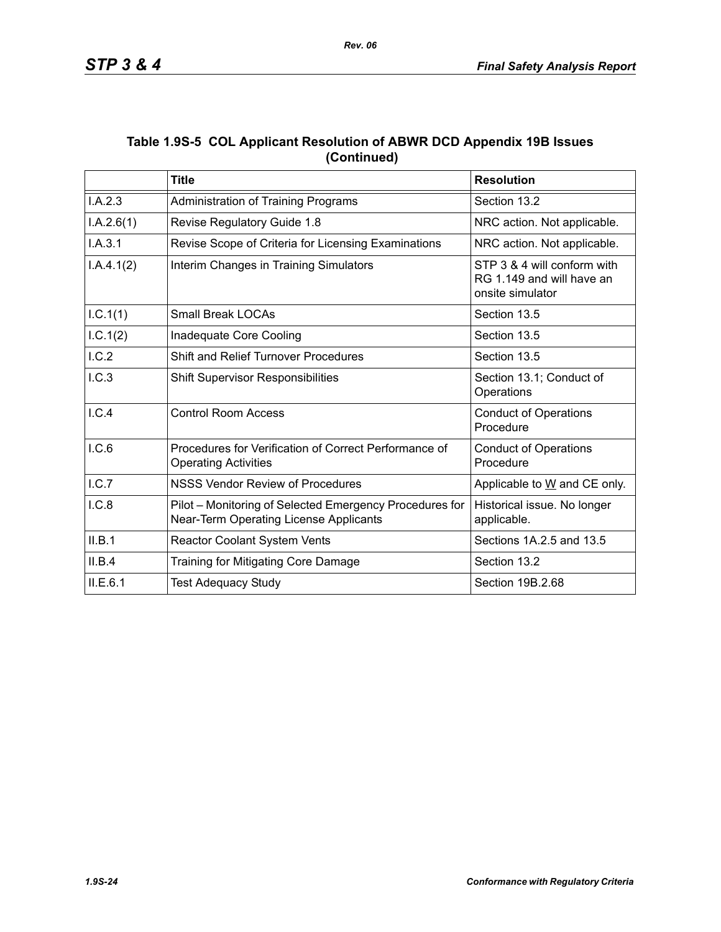|             | Table 1.9S-5 COL Applicant Resolution of ABWR DCD Appendix 19B Issues |
|-------------|-----------------------------------------------------------------------|
| (Continued) |                                                                       |

*Rev. 06*

|            | <b>Title</b>                                                                                      | <b>Resolution</b>                                                            |
|------------|---------------------------------------------------------------------------------------------------|------------------------------------------------------------------------------|
| I.A.2.3    | Administration of Training Programs                                                               | Section 13.2                                                                 |
| I.A.2.6(1) | Revise Regulatory Guide 1.8                                                                       | NRC action. Not applicable.                                                  |
| I.A.3.1    | Revise Scope of Criteria for Licensing Examinations                                               | NRC action. Not applicable.                                                  |
| I.A.4.1(2) | Interim Changes in Training Simulators                                                            | STP 3 & 4 will conform with<br>RG 1.149 and will have an<br>onsite simulator |
| I.C.1(1)   | <b>Small Break LOCAs</b>                                                                          | Section 13.5                                                                 |
| 1.C.1(2)   | Inadequate Core Cooling                                                                           | Section 13.5                                                                 |
| I.C.2      | <b>Shift and Relief Turnover Procedures</b>                                                       | Section 13.5                                                                 |
| I.C.3      | <b>Shift Supervisor Responsibilities</b>                                                          | Section 13.1; Conduct of<br>Operations                                       |
| I.C.4      | <b>Control Room Access</b>                                                                        | <b>Conduct of Operations</b><br>Procedure                                    |
| I.C.6      | Procedures for Verification of Correct Performance of<br><b>Operating Activities</b>              | <b>Conduct of Operations</b><br>Procedure                                    |
| I.C.7      | <b>NSSS Vendor Review of Procedures</b>                                                           | Applicable to W and CE only.                                                 |
| I.C.8      | Pilot - Monitoring of Selected Emergency Procedures for<br>Near-Term Operating License Applicants | Historical issue. No longer<br>applicable.                                   |
| II.B.1     | Reactor Coolant System Vents                                                                      | Sections 1A.2.5 and 13.5                                                     |
| II.B.4     | Training for Mitigating Core Damage                                                               | Section 13.2                                                                 |
| ILE.6.1    | <b>Test Adequacy Study</b>                                                                        | Section 19B.2.68                                                             |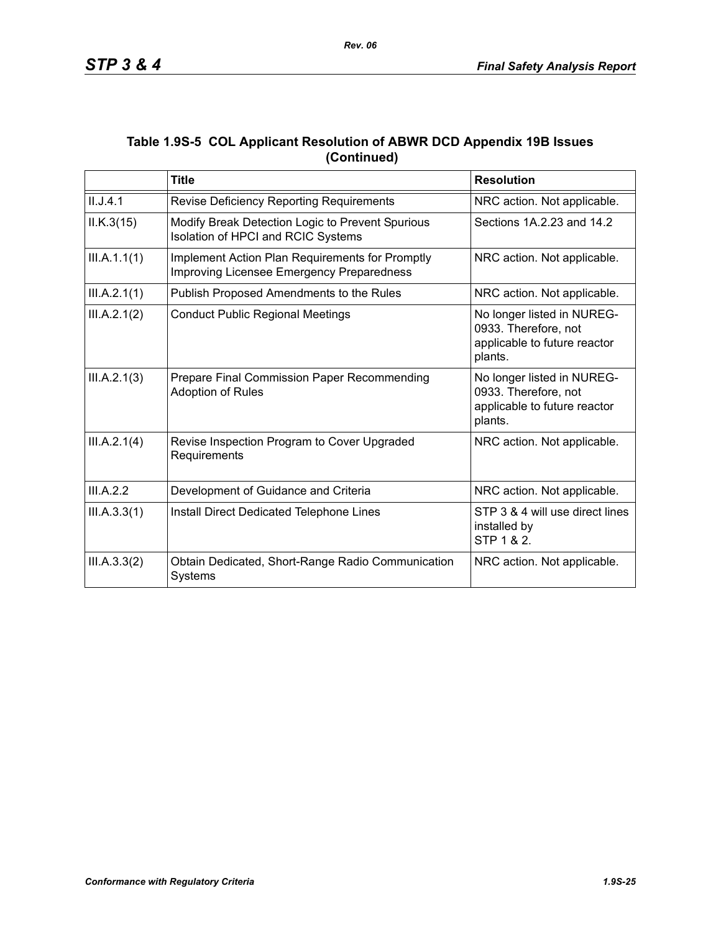|             | Table 1.9S-5 COL Applicant Resolution of ABWR DCD Appendix 19B Issues |
|-------------|-----------------------------------------------------------------------|
| (Continued) |                                                                       |

|              | <b>Title</b>                                                                                 | <b>Resolution</b>                                                                             |
|--------------|----------------------------------------------------------------------------------------------|-----------------------------------------------------------------------------------------------|
| II.J.4.1     | Revise Deficiency Reporting Requirements                                                     | NRC action. Not applicable.                                                                   |
| ILK.3(15)    | Modify Break Detection Logic to Prevent Spurious<br>Isolation of HPCI and RCIC Systems       | Sections 1A.2.23 and 14.2                                                                     |
| III.A.1.1(1) | Implement Action Plan Requirements for Promptly<br>Improving Licensee Emergency Preparedness | NRC action. Not applicable.                                                                   |
| III.A.2.1(1) | Publish Proposed Amendments to the Rules                                                     | NRC action. Not applicable.                                                                   |
| III.A.2.1(2) | <b>Conduct Public Regional Meetings</b>                                                      | No longer listed in NUREG-<br>0933. Therefore, not<br>applicable to future reactor<br>plants. |
| III.A.2.1(3) | Prepare Final Commission Paper Recommending<br>Adoption of Rules                             | No longer listed in NUREG-<br>0933. Therefore, not<br>applicable to future reactor<br>plants. |
| III.A.2.1(4) | Revise Inspection Program to Cover Upgraded<br>Requirements                                  | NRC action. Not applicable.                                                                   |
| III.A.2.2    | Development of Guidance and Criteria                                                         | NRC action. Not applicable.                                                                   |
| III.A.3.3(1) | Install Direct Dedicated Telephone Lines                                                     | STP 3 & 4 will use direct lines<br>installed by<br>STP 1 & 2.                                 |
| III.A.3.3(2) | Obtain Dedicated, Short-Range Radio Communication<br>Systems                                 | NRC action. Not applicable.                                                                   |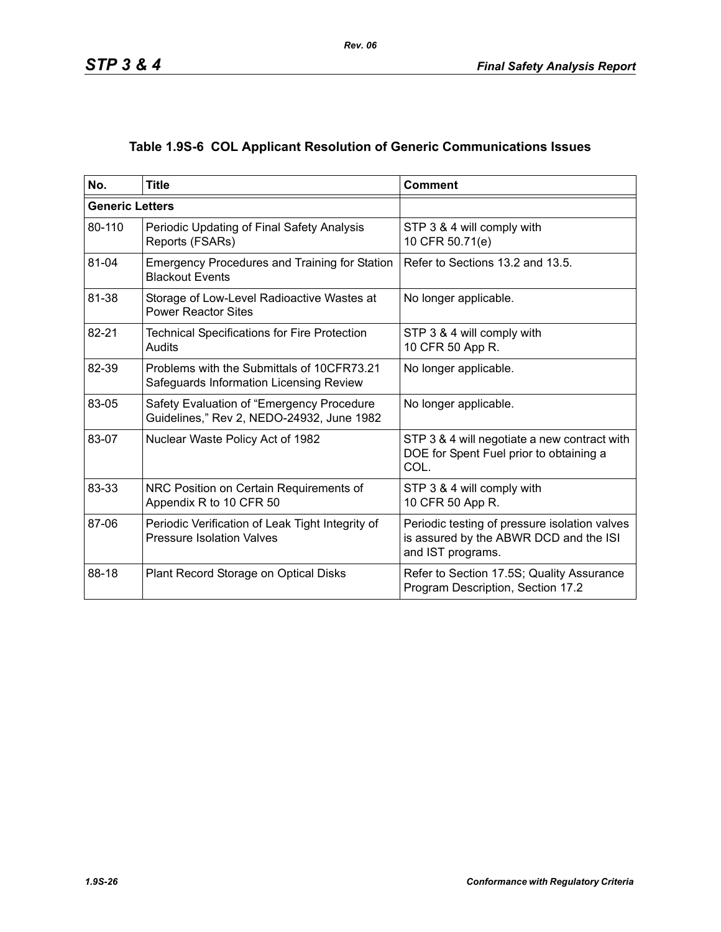# **Table 1.9S-6 COL Applicant Resolution of Generic Communications Issues**

| No.                    | <b>Title</b>                                                                           | <b>Comment</b>                                                                                               |
|------------------------|----------------------------------------------------------------------------------------|--------------------------------------------------------------------------------------------------------------|
| <b>Generic Letters</b> |                                                                                        |                                                                                                              |
| 80-110                 | Periodic Updating of Final Safety Analysis<br>Reports (FSARs)                          | STP 3 & 4 will comply with<br>10 CFR 50.71(e)                                                                |
| 81-04                  | <b>Emergency Procedures and Training for Station</b><br><b>Blackout Events</b>         | Refer to Sections 13.2 and 13.5.                                                                             |
| 81-38                  | Storage of Low-Level Radioactive Wastes at<br><b>Power Reactor Sites</b>               | No longer applicable.                                                                                        |
| 82-21                  | <b>Technical Specifications for Fire Protection</b><br>Audits                          | STP 3 & 4 will comply with<br>10 CFR 50 App R.                                                               |
| 82-39                  | Problems with the Submittals of 10CFR73.21<br>Safeguards Information Licensing Review  | No longer applicable.                                                                                        |
| 83-05                  | Safety Evaluation of "Emergency Procedure<br>Guidelines," Rev 2, NEDO-24932, June 1982 | No longer applicable.                                                                                        |
| 83-07                  | Nuclear Waste Policy Act of 1982                                                       | STP 3 & 4 will negotiate a new contract with<br>DOE for Spent Fuel prior to obtaining a<br>COL.              |
| 83-33                  | NRC Position on Certain Requirements of<br>Appendix R to 10 CFR 50                     | STP 3 & 4 will comply with<br>10 CFR 50 App R.                                                               |
| 87-06                  | Periodic Verification of Leak Tight Integrity of<br><b>Pressure Isolation Valves</b>   | Periodic testing of pressure isolation valves<br>is assured by the ABWR DCD and the ISI<br>and IST programs. |
| 88-18                  | Plant Record Storage on Optical Disks                                                  | Refer to Section 17.5S; Quality Assurance<br>Program Description, Section 17.2                               |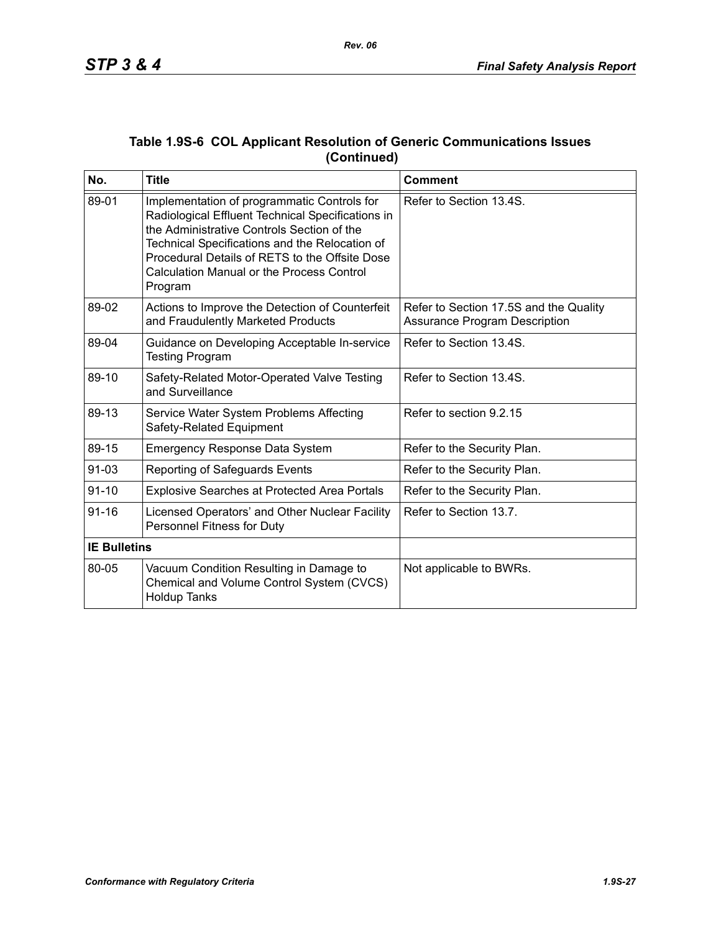| No.                 | <b>Title</b>                                                                                                                                                                                                                                                                                                      | <b>Comment</b>                                                                 |
|---------------------|-------------------------------------------------------------------------------------------------------------------------------------------------------------------------------------------------------------------------------------------------------------------------------------------------------------------|--------------------------------------------------------------------------------|
| 89-01               | Implementation of programmatic Controls for<br>Radiological Effluent Technical Specifications in<br>the Administrative Controls Section of the<br>Technical Specifications and the Relocation of<br>Procedural Details of RETS to the Offsite Dose<br><b>Calculation Manual or the Process Control</b><br>Program | Refer to Section 13.4S.                                                        |
| 89-02               | Actions to Improve the Detection of Counterfeit<br>and Fraudulently Marketed Products                                                                                                                                                                                                                             | Refer to Section 17.5S and the Quality<br><b>Assurance Program Description</b> |
| 89-04               | Guidance on Developing Acceptable In-service<br><b>Testing Program</b>                                                                                                                                                                                                                                            | Refer to Section 13.4S.                                                        |
| 89-10               | Safety-Related Motor-Operated Valve Testing<br>and Surveillance                                                                                                                                                                                                                                                   | Refer to Section 13.4S.                                                        |
| 89-13               | Service Water System Problems Affecting<br>Safety-Related Equipment                                                                                                                                                                                                                                               | Refer to section 9.2.15                                                        |
| 89-15               | <b>Emergency Response Data System</b>                                                                                                                                                                                                                                                                             | Refer to the Security Plan.                                                    |
| $91 - 03$           | Reporting of Safeguards Events                                                                                                                                                                                                                                                                                    | Refer to the Security Plan.                                                    |
| $91 - 10$           | <b>Explosive Searches at Protected Area Portals</b>                                                                                                                                                                                                                                                               | Refer to the Security Plan.                                                    |
| $91 - 16$           | Licensed Operators' and Other Nuclear Facility<br>Personnel Fitness for Duty                                                                                                                                                                                                                                      | Refer to Section 13.7.                                                         |
| <b>IE Bulletins</b> |                                                                                                                                                                                                                                                                                                                   |                                                                                |
| 80-05               | Vacuum Condition Resulting in Damage to<br>Chemical and Volume Control System (CVCS)<br><b>Holdup Tanks</b>                                                                                                                                                                                                       | Not applicable to BWRs.                                                        |

### **Table 1.9S-6 COL Applicant Resolution of Generic Communications Issues (Continued)**